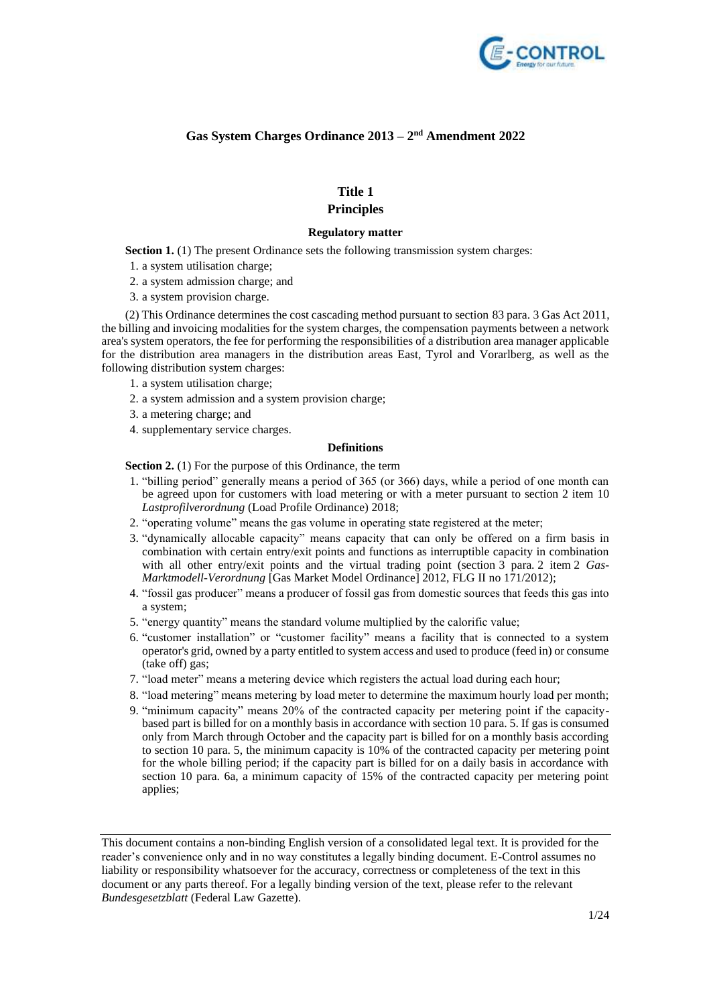

# **Gas System Charges Ordinance 2013 – 2 nd Amendment 2022**

# **Title 1**

# **Principles**

## **Regulatory matter**

**Section 1.** (1) The present Ordinance sets the following transmission system charges:

- 1. a system utilisation charge;
- 2. a system admission charge; and
- 3. a system provision charge.

(2) This Ordinance determines the cost cascading method pursuant to section 83 para. 3 Gas Act 2011, the billing and invoicing modalities for the system charges, the compensation payments between a network area's system operators, the fee for performing the responsibilities of a distribution area manager applicable for the distribution area managers in the distribution areas East, Tyrol and Vorarlberg, as well as the following distribution system charges:

- 1. a system utilisation charge;
- 2. a system admission and a system provision charge;
- 3. a metering charge; and
- 4. supplementary service charges.

### **Definitions**

**Section 2.** (1) For the purpose of this Ordinance, the term

- 1. "billing period" generally means a period of 365 (or 366) days, while a period of one month can be agreed upon for customers with load metering or with a meter pursuant to section 2 item 10 *Lastprofilverordnung* (Load Profile Ordinance) 2018;
- 2. "operating volume" means the gas volume in operating state registered at the meter;
- 3. "dynamically allocable capacity" means capacity that can only be offered on a firm basis in combination with certain entry/exit points and functions as interruptible capacity in combination with all other entry/exit points and the virtual trading point (section 3 para. 2 item 2 *Gas-Marktmodell-Verordnung* [Gas Market Model Ordinance] 2012, FLG II no 171/2012);
- 4. "fossil gas producer" means a producer of fossil gas from domestic sources that feeds this gas into a system;
- 5. "energy quantity" means the standard volume multiplied by the calorific value;
- 6. "customer installation" or "customer facility" means a facility that is connected to a system operator's grid, owned by a party entitled to system access and used to produce (feed in) or consume (take off) gas;
- 7. "load meter" means a metering device which registers the actual load during each hour;
- 8. "load metering" means metering by load meter to determine the maximum hourly load per month;
- 9. "minimum capacity" means 20% of the contracted capacity per metering point if the capacitybased part is billed for on a monthly basis in accordance with section 10 para. 5. If gas is consumed only from March through October and the capacity part is billed for on a monthly basis according to section 10 para. 5, the minimum capacity is 10% of the contracted capacity per metering point for the whole billing period; if the capacity part is billed for on a daily basis in accordance with section 10 para. 6a, a minimum capacity of 15% of the contracted capacity per metering point applies;

This document contains a non-binding English version of a consolidated legal text. It is provided for the reader's convenience only and in no way constitutes a legally binding document. E-Control assumes no liability or responsibility whatsoever for the accuracy, correctness or completeness of the text in this document or any parts thereof. For a legally binding version of the text, please refer to the relevant *Bundesgesetzblatt* (Federal Law Gazette).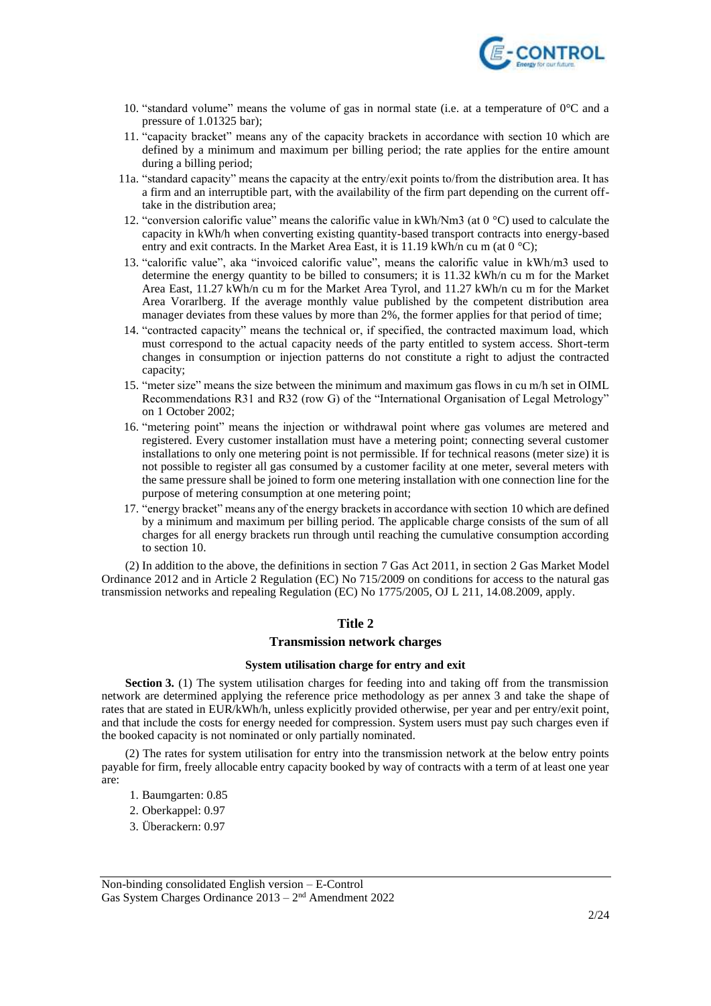

- 10. "standard volume" means the volume of gas in normal state (i.e. at a temperature of  $0^{\circ}$ C and a pressure of 1.01325 bar);
- 11. "capacity bracket" means any of the capacity brackets in accordance with section 10 which are defined by a minimum and maximum per billing period; the rate applies for the entire amount during a billing period;
- 11a. "standard capacity" means the capacity at the entry/exit points to/from the distribution area. It has a firm and an interruptible part, with the availability of the firm part depending on the current offtake in the distribution area;
- 12. "conversion calorific value" means the calorific value in kWh/Nm3 (at 0 °C) used to calculate the capacity in kWh/h when converting existing quantity-based transport contracts into energy-based entry and exit contracts. In the Market Area East, it is 11.19 kWh/n cu m (at 0  $^{\circ}$ C);
- 13. "calorific value", aka "invoiced calorific value", means the calorific value in kWh/m3 used to determine the energy quantity to be billed to consumers; it is 11.32 kWh/n cu m for the Market Area East, 11.27 kWh/n cu m for the Market Area Tyrol, and 11.27 kWh/n cu m for the Market Area Vorarlberg. If the average monthly value published by the competent distribution area manager deviates from these values by more than 2%, the former applies for that period of time;
- 14. "contracted capacity" means the technical or, if specified, the contracted maximum load, which must correspond to the actual capacity needs of the party entitled to system access. Short-term changes in consumption or injection patterns do not constitute a right to adjust the contracted capacity;
- 15. "meter size" means the size between the minimum and maximum gas flows in cu m/h set in OIML Recommendations R31 and R32 (row G) of the "International Organisation of Legal Metrology" on 1 October 2002;
- 16. "metering point" means the injection or withdrawal point where gas volumes are metered and registered. Every customer installation must have a metering point; connecting several customer installations to only one metering point is not permissible. If for technical reasons (meter size) it is not possible to register all gas consumed by a customer facility at one meter, several meters with the same pressure shall be joined to form one metering installation with one connection line for the purpose of metering consumption at one metering point;
- 17. "energy bracket" means any of the energy brackets in accordance with section 10 which are defined by a minimum and maximum per billing period. The applicable charge consists of the sum of all charges for all energy brackets run through until reaching the cumulative consumption according to section 10.

(2) In addition to the above, the definitions in section 7 Gas Act 2011, in section 2 Gas Market Model Ordinance 2012 and in Article 2 Regulation (EC) No 715/2009 on conditions for access to the natural gas transmission networks and repealing Regulation (EC) No 1775/2005, OJ L 211, 14.08.2009, apply.

## **Title 2**

### **Transmission network charges**

### **System utilisation charge for entry and exit**

**Section 3.** (1) The system utilisation charges for feeding into and taking off from the transmission network are determined applying the reference price methodology as per annex 3 and take the shape of rates that are stated in EUR/kWh/h, unless explicitly provided otherwise, per year and per entry/exit point, and that include the costs for energy needed for compression. System users must pay such charges even if the booked capacity is not nominated or only partially nominated.

(2) The rates for system utilisation for entry into the transmission network at the below entry points payable for firm, freely allocable entry capacity booked by way of contracts with a term of at least one year are:

- 1. Baumgarten: 0.85
- 2. Oberkappel: 0.97
- 3. Überackern: 0.97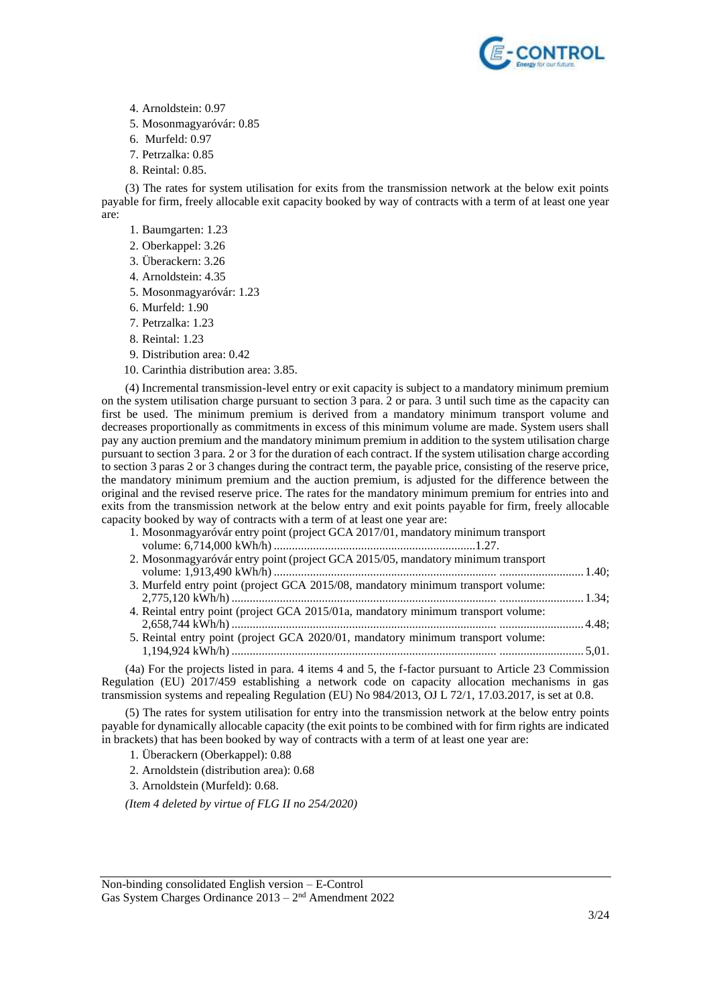

- 4. Arnoldstein: 0.97
- 5. Mosonmagyaróvár: 0.85
- 6. Murfeld: 0.97
- 7. Petrzalka: 0.85
- 8. Reintal: 0.85.

(3) The rates for system utilisation for exits from the transmission network at the below exit points payable for firm, freely allocable exit capacity booked by way of contracts with a term of at least one year are:

- 1. Baumgarten: 1.23
- 2. Oberkappel: 3.26
- 3. Überackern: 3.26
- 4. Arnoldstein: 4.35
- 5. Mosonmagyaróvár: 1.23
- 6. Murfeld: 1.90
- 7. Petrzalka: 1.23
- 8. Reintal: 1.23
- 9. Distribution area: 0.42
- 10. Carinthia distribution area: 3.85.

(4) Incremental transmission-level entry or exit capacity is subject to a mandatory minimum premium on the system utilisation charge pursuant to section 3 para. 2 or para. 3 until such time as the capacity can first be used. The minimum premium is derived from a mandatory minimum transport volume and decreases proportionally as commitments in excess of this minimum volume are made. System users shall pay any auction premium and the mandatory minimum premium in addition to the system utilisation charge pursuant to section 3 para. 2 or 3 for the duration of each contract. If the system utilisation charge according to section 3 paras 2 or 3 changes during the contract term, the payable price, consisting of the reserve price, the mandatory minimum premium and the auction premium, is adjusted for the difference between the original and the revised reserve price. The rates for the mandatory minimum premium for entries into and exits from the transmission network at the below entry and exit points payable for firm, freely allocable capacity booked by way of contracts with a term of at least one year are:

- 1. Mosonmagyaróvár entry point (project GCA 2017/01, mandatory minimum transport volume: 6,714,000 kWh/h) ...................................................................1.27.
- 2. Mosonmagyaróvár entry point (project GCA 2015/05, mandatory minimum transport volume: 1,913,490 kWh/h) .......................................................................... ............................ 1.40; 3. Murfeld entry point (project GCA 2015/08, mandatory minimum transport volume: 2,775,120 kWh/h) ........................................................................................ ............................ 1.34; 4. Reintal entry point (project GCA 2015/01a, mandatory minimum transport volume:
- 2,658,744 kWh/h) ........................................................................................ ............................ 4.48; 5. Reintal entry point (project GCA 2020/01, mandatory minimum transport volume:
- 1,194,924 kWh/h) ........................................................................................ ............................ 5,01.

(4a) For the projects listed in para. 4 items 4 and 5, the f-factor pursuant to Article 23 Commission Regulation (EU) 2017/459 establishing a network code on capacity allocation mechanisms in gas transmission systems and repealing Regulation (EU) No 984/2013, OJ L 72/1, 17.03.2017, is set at 0.8.

(5) The rates for system utilisation for entry into the transmission network at the below entry points payable for dynamically allocable capacity (the exit points to be combined with for firm rights are indicated in brackets) that has been booked by way of contracts with a term of at least one year are:

1. Überackern (Oberkappel): 0.88

- 2. Arnoldstein (distribution area): 0.68
- 3. Arnoldstein (Murfeld): 0.68.

*(Item 4 deleted by virtue of FLG II no 254/2020)*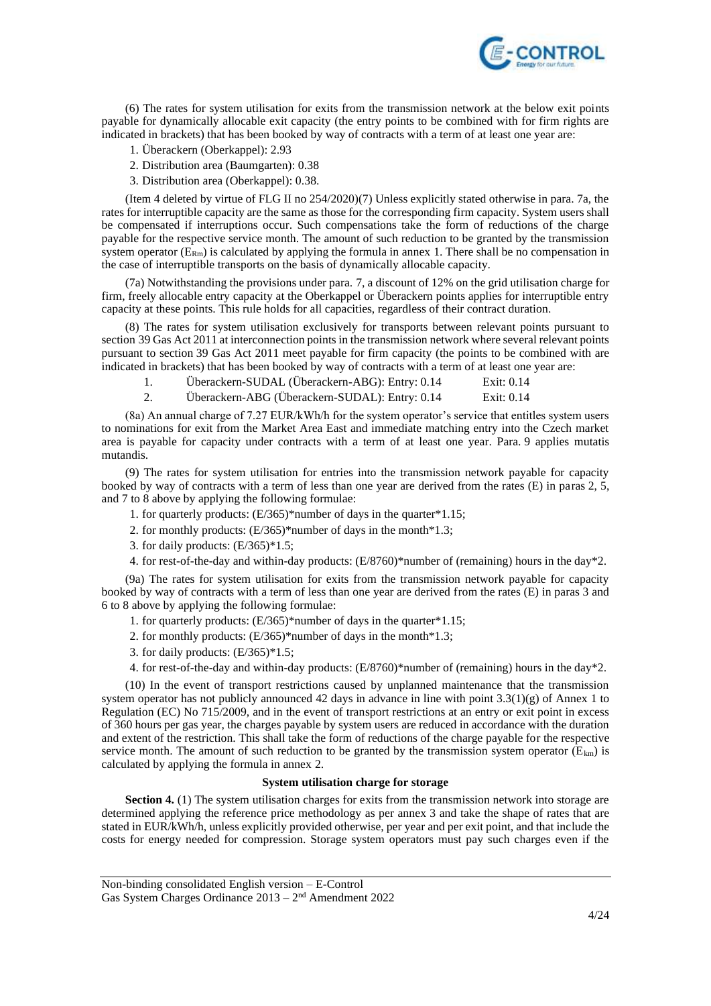

(6) The rates for system utilisation for exits from the transmission network at the below exit points payable for dynamically allocable exit capacity (the entry points to be combined with for firm rights are indicated in brackets) that has been booked by way of contracts with a term of at least one year are:

- 1. Überackern (Oberkappel): 2.93
- 2. Distribution area (Baumgarten): 0.38
- 3. Distribution area (Oberkappel): 0.38.

(Item 4 deleted by virtue of FLG II no 254/2020)(7) Unless explicitly stated otherwise in para. 7a, the rates for interruptible capacity are the same as those for the corresponding firm capacity. System users shall be compensated if interruptions occur. Such compensations take the form of reductions of the charge payable for the respective service month. The amount of such reduction to be granted by the transmission system operator  $(E_{Rm})$  is calculated by applying the formula in annex 1. There shall be no compensation in the case of interruptible transports on the basis of dynamically allocable capacity.

(7a) Notwithstanding the provisions under para. 7, a discount of 12% on the grid utilisation charge for firm, freely allocable entry capacity at the Oberkappel or Überackern points applies for interruptible entry capacity at these points. This rule holds for all capacities, regardless of their contract duration.

(8) The rates for system utilisation exclusively for transports between relevant points pursuant to section 39 Gas Act 2011 at interconnection points in the transmission network where several relevant points pursuant to section 39 Gas Act 2011 meet payable for firm capacity (the points to be combined with are indicated in brackets) that has been booked by way of contracts with a term of at least one year are:

|    | Überackern-SUDAL (Überackern-ABG): Entry: 0.14 | Exit: 0.14 |
|----|------------------------------------------------|------------|
| Ζ. | Überackern-ABG (Überackern-SUDAL): Entry: 0.14 | Exit: 0.14 |

(8a) An annual charge of 7.27 EUR/kWh/h for the system operator's service that entitles system users to nominations for exit from the Market Area East and immediate matching entry into the Czech market area is payable for capacity under contracts with a term of at least one year. Para. 9 applies mutatis mutandis.

(9) The rates for system utilisation for entries into the transmission network payable for capacity booked by way of contracts with a term of less than one year are derived from the rates (E) in paras 2, 5, and 7 to 8 above by applying the following formulae:

- 1. for quarterly products: (E/365)\*number of days in the quarter\*1.15;
- 2. for monthly products: (E/365)\*number of days in the month\*1.3;
- 3. for daily products:  $(E/365)*1.5$ ;
- 4. for rest-of-the-day and within-day products: (E/8760)\*number of (remaining) hours in the day\*2.

(9a) The rates for system utilisation for exits from the transmission network payable for capacity booked by way of contracts with a term of less than one year are derived from the rates (E) in paras 3 and 6 to 8 above by applying the following formulae:

- 1. for quarterly products: (E/365)\*number of days in the quarter\*1.15;
- 2. for monthly products: (E/365)\*number of days in the month\*1.3;
- 3. for daily products: (E/365)\*1.5;
- 4. for rest-of-the-day and within-day products: (E/8760)\*number of (remaining) hours in the day\*2.

(10) In the event of transport restrictions caused by unplanned maintenance that the transmission system operator has not publicly announced 42 days in advance in line with point 3.3(1)(g) of Annex 1 to Regulation (EC) No 715/2009, and in the event of transport restrictions at an entry or exit point in excess of 360 hours per gas year, the charges payable by system users are reduced in accordance with the duration and extent of the restriction. This shall take the form of reductions of the charge payable for the respective service month. The amount of such reduction to be granted by the transmission system operator ( $E_{km}$ ) is calculated by applying the formula in annex 2.

### **System utilisation charge for storage**

**Section 4.** (1) The system utilisation charges for exits from the transmission network into storage are determined applying the reference price methodology as per annex 3 and take the shape of rates that are stated in EUR/kWh/h, unless explicitly provided otherwise, per year and per exit point, and that include the costs for energy needed for compression. Storage system operators must pay such charges even if the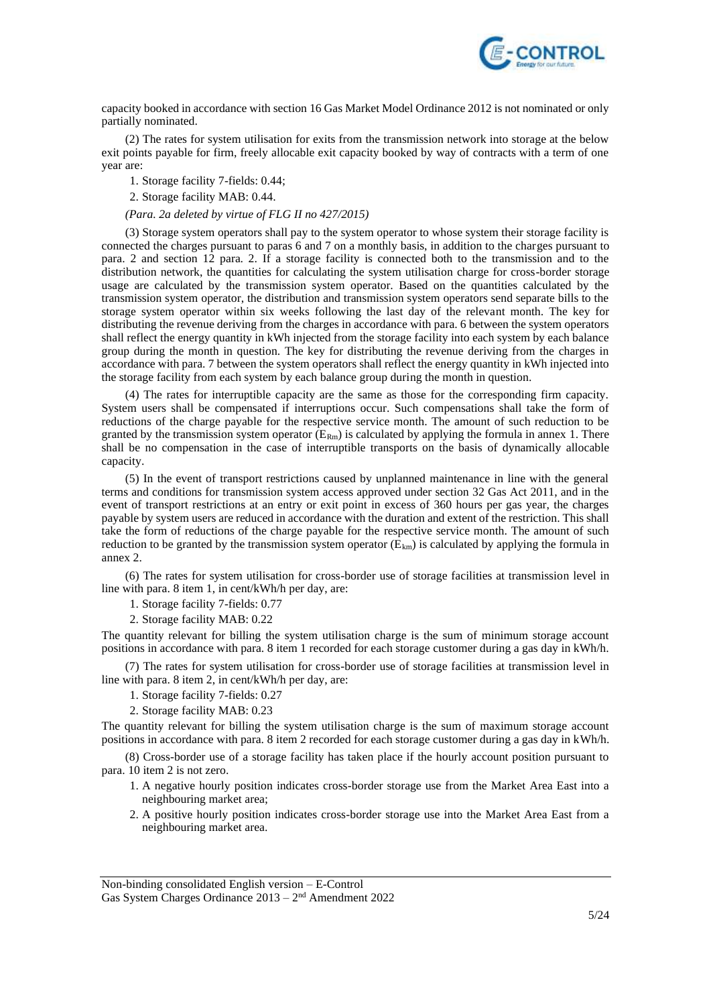

capacity booked in accordance with section 16 Gas Market Model Ordinance 2012 is not nominated or only partially nominated.

(2) The rates for system utilisation for exits from the transmission network into storage at the below exit points payable for firm, freely allocable exit capacity booked by way of contracts with a term of one year are:

1. Storage facility 7-fields: 0.44;

2. Storage facility MAB: 0.44.

## *(Para. 2a deleted by virtue of FLG II no 427/2015)*

(3) Storage system operators shall pay to the system operator to whose system their storage facility is connected the charges pursuant to paras 6 and 7 on a monthly basis, in addition to the charges pursuant to para. 2 and section 12 para. 2. If a storage facility is connected both to the transmission and to the distribution network, the quantities for calculating the system utilisation charge for cross-border storage usage are calculated by the transmission system operator. Based on the quantities calculated by the transmission system operator, the distribution and transmission system operators send separate bills to the storage system operator within six weeks following the last day of the relevant month. The key for distributing the revenue deriving from the charges in accordance with para. 6 between the system operators shall reflect the energy quantity in kWh injected from the storage facility into each system by each balance group during the month in question. The key for distributing the revenue deriving from the charges in accordance with para. 7 between the system operators shall reflect the energy quantity in kWh injected into the storage facility from each system by each balance group during the month in question.

(4) The rates for interruptible capacity are the same as those for the corresponding firm capacity. System users shall be compensated if interruptions occur. Such compensations shall take the form of reductions of the charge payable for the respective service month. The amount of such reduction to be granted by the transmission system operator  $(E_{Rm})$  is calculated by applying the formula in annex 1. There shall be no compensation in the case of interruptible transports on the basis of dynamically allocable capacity.

(5) In the event of transport restrictions caused by unplanned maintenance in line with the general terms and conditions for transmission system access approved under section 32 Gas Act 2011, and in the event of transport restrictions at an entry or exit point in excess of 360 hours per gas year, the charges payable by system users are reduced in accordance with the duration and extent of the restriction. This shall take the form of reductions of the charge payable for the respective service month. The amount of such reduction to be granted by the transmission system operator  $(E_{km})$  is calculated by applying the formula in annex 2.

(6) The rates for system utilisation for cross-border use of storage facilities at transmission level in line with para. 8 item 1, in cent/kWh/h per day, are:

1. Storage facility 7-fields: 0.77

2. Storage facility MAB: 0.22

The quantity relevant for billing the system utilisation charge is the sum of minimum storage account positions in accordance with para. 8 item 1 recorded for each storage customer during a gas day in kWh/h.

(7) The rates for system utilisation for cross-border use of storage facilities at transmission level in line with para. 8 item 2, in cent/kWh/h per day, are:

- 1. Storage facility 7-fields: 0.27
- 2. Storage facility MAB: 0.23

The quantity relevant for billing the system utilisation charge is the sum of maximum storage account positions in accordance with para. 8 item 2 recorded for each storage customer during a gas day in kWh/h.

(8) Cross-border use of a storage facility has taken place if the hourly account position pursuant to para. 10 item 2 is not zero.

- 1. A negative hourly position indicates cross-border storage use from the Market Area East into a neighbouring market area;
- 2. A positive hourly position indicates cross-border storage use into the Market Area East from a neighbouring market area.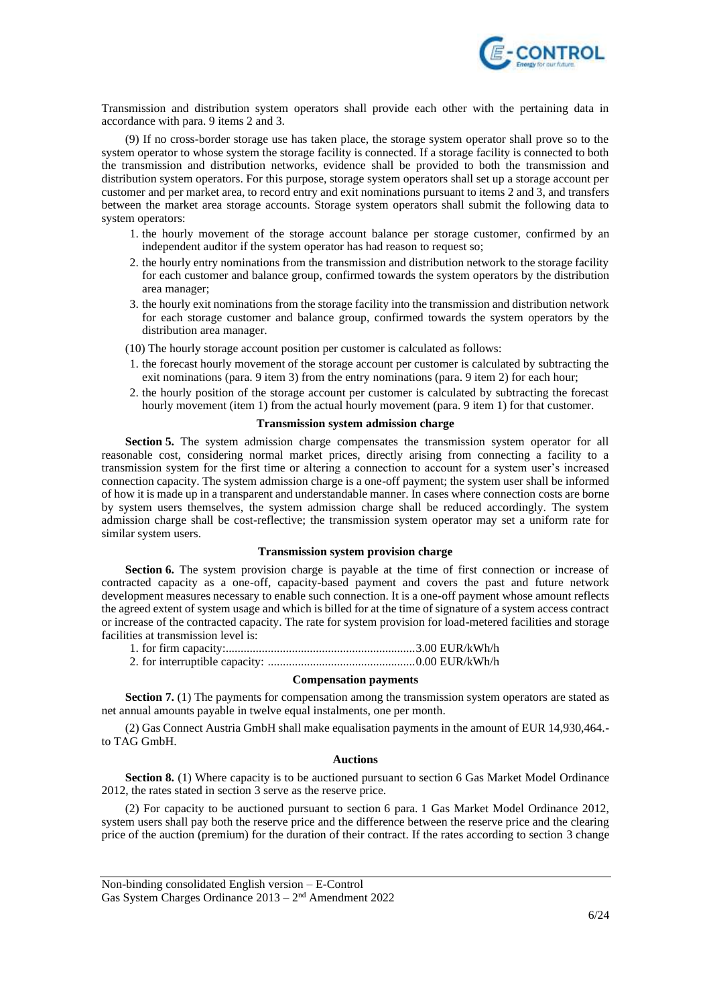

Transmission and distribution system operators shall provide each other with the pertaining data in accordance with para. 9 items 2 and 3.

(9) If no cross-border storage use has taken place, the storage system operator shall prove so to the system operator to whose system the storage facility is connected. If a storage facility is connected to both the transmission and distribution networks, evidence shall be provided to both the transmission and distribution system operators. For this purpose, storage system operators shall set up a storage account per customer and per market area, to record entry and exit nominations pursuant to items 2 and 3, and transfers between the market area storage accounts. Storage system operators shall submit the following data to system operators:

- 1. the hourly movement of the storage account balance per storage customer, confirmed by an independent auditor if the system operator has had reason to request so;
- 2. the hourly entry nominations from the transmission and distribution network to the storage facility for each customer and balance group, confirmed towards the system operators by the distribution area manager;
- 3. the hourly exit nominations from the storage facility into the transmission and distribution network for each storage customer and balance group, confirmed towards the system operators by the distribution area manager.
- (10) The hourly storage account position per customer is calculated as follows:
- 1. the forecast hourly movement of the storage account per customer is calculated by subtracting the exit nominations (para. 9 item 3) from the entry nominations (para. 9 item 2) for each hour;
- 2. the hourly position of the storage account per customer is calculated by subtracting the forecast hourly movement (item 1) from the actual hourly movement (para. 9 item 1) for that customer.

## **Transmission system admission charge**

**Section 5.** The system admission charge compensates the transmission system operator for all reasonable cost, considering normal market prices, directly arising from connecting a facility to a transmission system for the first time or altering a connection to account for a system user's increased connection capacity. The system admission charge is a one-off payment; the system user shall be informed of how it is made up in a transparent and understandable manner. In cases where connection costs are borne by system users themselves, the system admission charge shall be reduced accordingly. The system admission charge shall be cost-reflective; the transmission system operator may set a uniform rate for similar system users.

#### **Transmission system provision charge**

**Section 6.** The system provision charge is payable at the time of first connection or increase of contracted capacity as a one-off, capacity-based payment and covers the past and future network development measures necessary to enable such connection. It is a one-off payment whose amount reflects the agreed extent of system usage and which is billed for at the time of signature of a system access contract or increase of the contracted capacity. The rate for system provision for load-metered facilities and storage facilities at transmission level is:

#### **Compensation payments**

**Section 7.** (1) The payments for compensation among the transmission system operators are stated as net annual amounts payable in twelve equal instalments, one per month.

(2) Gas Connect Austria GmbH shall make equalisation payments in the amount of EUR 14,930,464. to TAG GmbH.

#### **Auctions**

**Section 8.** (1) Where capacity is to be auctioned pursuant to section 6 Gas Market Model Ordinance 2012, the rates stated in section 3 serve as the reserve price.

(2) For capacity to be auctioned pursuant to section 6 para. 1 Gas Market Model Ordinance 2012, system users shall pay both the reserve price and the difference between the reserve price and the clearing price of the auction (premium) for the duration of their contract. If the rates according to section 3 change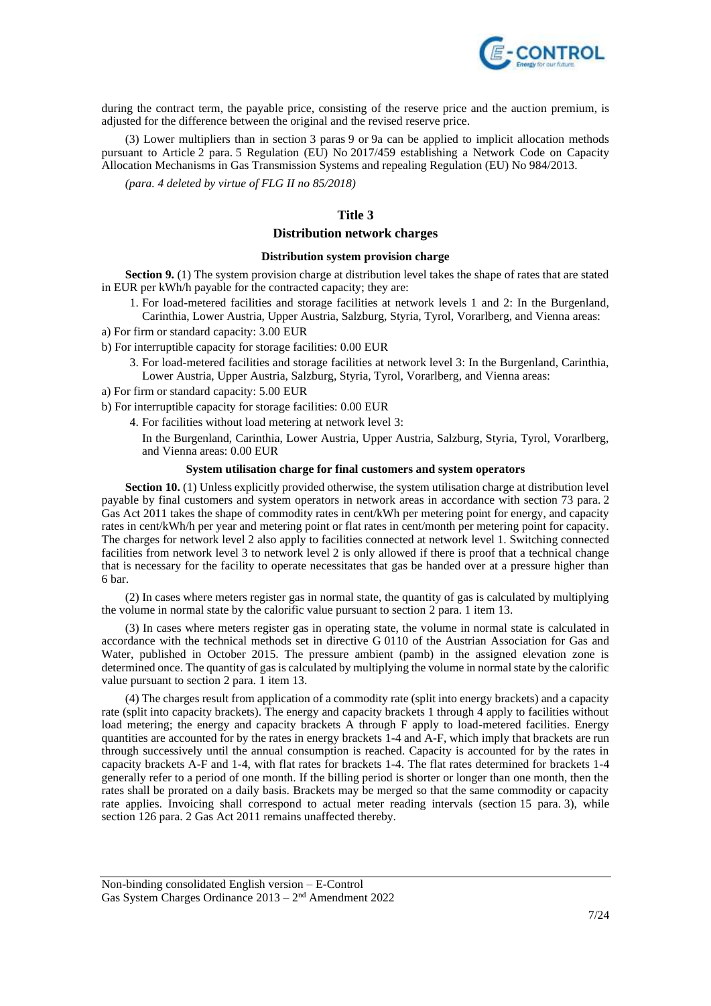

during the contract term, the payable price, consisting of the reserve price and the auction premium, is adjusted for the difference between the original and the revised reserve price.

(3) Lower multipliers than in section 3 paras 9 or 9a can be applied to implicit allocation methods pursuant to Article 2 para. 5 Regulation (EU) No 2017/459 establishing a Network Code on Capacity Allocation Mechanisms in Gas Transmission Systems and repealing Regulation (EU) No 984/2013.

*(para. 4 deleted by virtue of FLG II no 85/2018)*

# **Title 3**

## **Distribution network charges**

#### **Distribution system provision charge**

**Section 9.** (1) The system provision charge at distribution level takes the shape of rates that are stated in EUR per kWh/h payable for the contracted capacity; they are:

- 1. For load-metered facilities and storage facilities at network levels 1 and 2: In the Burgenland, Carinthia, Lower Austria, Upper Austria, Salzburg, Styria, Tyrol, Vorarlberg, and Vienna areas:
- a) For firm or standard capacity: 3.00 EUR
- b) For interruptible capacity for storage facilities: 0.00 EUR
	- 3. For load-metered facilities and storage facilities at network level 3: In the Burgenland, Carinthia, Lower Austria, Upper Austria, Salzburg, Styria, Tyrol, Vorarlberg, and Vienna areas:
- a) For firm or standard capacity: 5.00 EUR
- b) For interruptible capacity for storage facilities: 0.00 EUR
	- 4. For facilities without load metering at network level 3:
		- In the Burgenland, Carinthia, Lower Austria, Upper Austria, Salzburg, Styria, Tyrol, Vorarlberg, and Vienna areas: 0.00 EUR

### **System utilisation charge for final customers and system operators**

**Section 10.** (1) Unless explicitly provided otherwise, the system utilisation charge at distribution level payable by final customers and system operators in network areas in accordance with section 73 para. 2 Gas Act 2011 takes the shape of commodity rates in cent/kWh per metering point for energy, and capacity rates in cent/kWh/h per year and metering point or flat rates in cent/month per metering point for capacity. The charges for network level 2 also apply to facilities connected at network level 1. Switching connected facilities from network level 3 to network level 2 is only allowed if there is proof that a technical change that is necessary for the facility to operate necessitates that gas be handed over at a pressure higher than 6 bar.

(2) In cases where meters register gas in normal state, the quantity of gas is calculated by multiplying the volume in normal state by the calorific value pursuant to section 2 para. 1 item 13.

(3) In cases where meters register gas in operating state, the volume in normal state is calculated in accordance with the technical methods set in directive G 0110 of the Austrian Association for Gas and Water, published in October 2015. The pressure ambient (pamb) in the assigned elevation zone is determined once. The quantity of gas is calculated by multiplying the volume in normal state by the calorific value pursuant to section 2 para. 1 item 13.

(4) The charges result from application of a commodity rate (split into energy brackets) and a capacity rate (split into capacity brackets). The energy and capacity brackets 1 through 4 apply to facilities without load metering; the energy and capacity brackets A through F apply to load-metered facilities. Energy quantities are accounted for by the rates in energy brackets 1-4 and A-F, which imply that brackets are run through successively until the annual consumption is reached. Capacity is accounted for by the rates in capacity brackets A-F and 1-4, with flat rates for brackets 1-4. The flat rates determined for brackets 1-4 generally refer to a period of one month. If the billing period is shorter or longer than one month, then the rates shall be prorated on a daily basis. Brackets may be merged so that the same commodity or capacity rate applies. Invoicing shall correspond to actual meter reading intervals (section 15 para. 3), while section 126 para. 2 Gas Act 2011 remains unaffected thereby.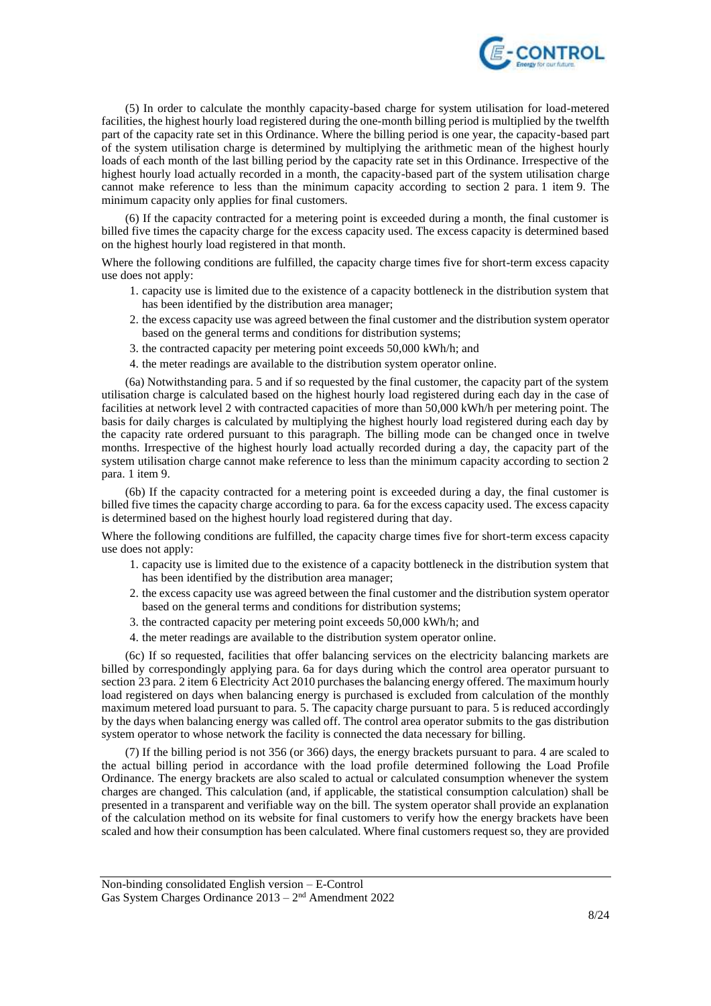

(5) In order to calculate the monthly capacity-based charge for system utilisation for load-metered facilities, the highest hourly load registered during the one-month billing period is multiplied by the twelfth part of the capacity rate set in this Ordinance. Where the billing period is one year, the capacity-based part of the system utilisation charge is determined by multiplying the arithmetic mean of the highest hourly loads of each month of the last billing period by the capacity rate set in this Ordinance. Irrespective of the highest hourly load actually recorded in a month, the capacity-based part of the system utilisation charge cannot make reference to less than the minimum capacity according to section 2 para. 1 item 9. The minimum capacity only applies for final customers.

(6) If the capacity contracted for a metering point is exceeded during a month, the final customer is billed five times the capacity charge for the excess capacity used. The excess capacity is determined based on the highest hourly load registered in that month.

Where the following conditions are fulfilled, the capacity charge times five for short-term excess capacity use does not apply:

- 1. capacity use is limited due to the existence of a capacity bottleneck in the distribution system that has been identified by the distribution area manager;
- 2. the excess capacity use was agreed between the final customer and the distribution system operator based on the general terms and conditions for distribution systems;
- 3. the contracted capacity per metering point exceeds 50,000 kWh/h; and
- 4. the meter readings are available to the distribution system operator online.

(6a) Notwithstanding para. 5 and if so requested by the final customer, the capacity part of the system utilisation charge is calculated based on the highest hourly load registered during each day in the case of facilities at network level 2 with contracted capacities of more than 50,000 kWh/h per metering point. The basis for daily charges is calculated by multiplying the highest hourly load registered during each day by the capacity rate ordered pursuant to this paragraph. The billing mode can be changed once in twelve months. Irrespective of the highest hourly load actually recorded during a day, the capacity part of the system utilisation charge cannot make reference to less than the minimum capacity according to section 2 para. 1 item 9.

(6b) If the capacity contracted for a metering point is exceeded during a day, the final customer is billed five times the capacity charge according to para. 6a for the excess capacity used. The excess capacity is determined based on the highest hourly load registered during that day.

Where the following conditions are fulfilled, the capacity charge times five for short-term excess capacity use does not apply:

- 1. capacity use is limited due to the existence of a capacity bottleneck in the distribution system that has been identified by the distribution area manager;
- 2. the excess capacity use was agreed between the final customer and the distribution system operator based on the general terms and conditions for distribution systems;
- 3. the contracted capacity per metering point exceeds 50,000 kWh/h; and
- 4. the meter readings are available to the distribution system operator online.

(6c) If so requested, facilities that offer balancing services on the electricity balancing markets are billed by correspondingly applying para. 6a for days during which the control area operator pursuant to section 23 para. 2 item 6 Electricity Act 2010 purchases the balancing energy offered. The maximum hourly load registered on days when balancing energy is purchased is excluded from calculation of the monthly maximum metered load pursuant to para. 5. The capacity charge pursuant to para. 5 is reduced accordingly by the days when balancing energy was called off. The control area operator submits to the gas distribution system operator to whose network the facility is connected the data necessary for billing.

(7) If the billing period is not 356 (or 366) days, the energy brackets pursuant to para. 4 are scaled to the actual billing period in accordance with the load profile determined following the Load Profile Ordinance. The energy brackets are also scaled to actual or calculated consumption whenever the system charges are changed. This calculation (and, if applicable, the statistical consumption calculation) shall be presented in a transparent and verifiable way on the bill. The system operator shall provide an explanation of the calculation method on its website for final customers to verify how the energy brackets have been scaled and how their consumption has been calculated. Where final customers request so, they are provided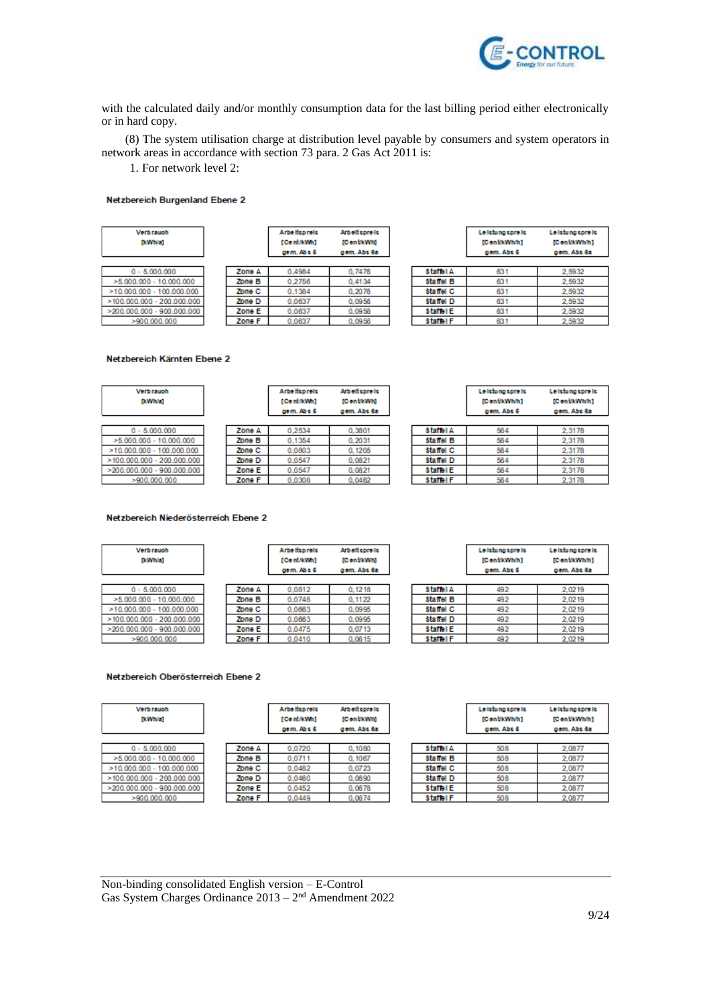

with the calculated daily and/or monthly consumption data for the last billing period either electronically or in hard copy.

(8) The system utilisation charge at distribution level payable by consumers and system operators in network areas in accordance with section 73 para. 2 Gas Act 2011 is:

1. For network level 2:

#### Netzbereich Burgenland Ebene 2

| <b>Verbrauch</b><br>[kWh/a]   |        | Arbeitspreis<br>[Conf/kWn]<br>gem. Ab c 6 | <b>Arbeit spreis</b><br>[ContikWh]<br>gem. Abs 8a |                  | Le Islama spre le<br>[Cont/kWh/h]<br>gem. Abs 6 | Le Islama spre le<br>[ContikWivih]<br>gem. Abs 8a |
|-------------------------------|--------|-------------------------------------------|---------------------------------------------------|------------------|-------------------------------------------------|---------------------------------------------------|
| $0 - 5,000,000$               | Zone A | 0.4984                                    | 0.7476                                            | <b>Staffol A</b> | 631                                             | 2.5932                                            |
| $>5.000.000 - 10.000.000$     | Zone B | 0.2756                                    | 0.4134                                            | Statiel B        | 631                                             | 2,5932                                            |
| $>10.000.000 - 100.000.000$   | Zone C | 0.1384                                    | 0.2076                                            | <b>Statiel C</b> | 631                                             | 2,5932                                            |
| $>$ 100.000.000 - 200.000.000 | Zone D | 0.0637                                    | 0.0956                                            | Statiel D        | 631                                             | 2,5932                                            |
| >200.000.000<br>900.000.000   | Zone E | 0.0637                                    | 0.0956                                            | Staffel E        | 631                                             | 2.5932                                            |
| >900.000.000                  | Zone F | 0.0637                                    | 0.0956                                            | Staffel F        | 631                                             | 2,5932                                            |

#### Netzbereich Kärnten Ebene 2

| <b>Verbrauch</b><br>[kWh/a]   |        | Arbeitspreis<br>[Conf/kWn]<br>com. Ab c 6 | <b>Arbeit spreis</b><br>[ContikWh]<br>gem. Abs 8a |                  | Le Iching core ic<br>[ContitWhih]<br>gom, Abe 6 | Le Istung spre ls<br>[ContikWivih]<br>gem. Abs 8a |
|-------------------------------|--------|-------------------------------------------|---------------------------------------------------|------------------|-------------------------------------------------|---------------------------------------------------|
| $0 - 5,000,000$               | Zone A | 0.2534                                    | 0.3801                                            | <b>Staffel A</b> | 564                                             | 2.3178                                            |
| $>5.000.000 - 10.000.000$     | Zone B | 0.1354                                    | 0.2031                                            | Statiel B        | 564                                             | 2.3178                                            |
| $>10.000.000 - 100.000.000$   | Zone C | 0.0803                                    | 0.1205                                            | Statiel C        | 564                                             | 2.3178                                            |
| $>$ 100.000.000 - 200.000.000 | Zone D | 0.0547                                    | 0.0821                                            | Statiel D        | 564                                             | 2.3178                                            |
| 900.000.000<br>>200.000.000   | Zone E | 0.0547                                    | 0.0821                                            | Staffel E        | 564                                             | 2.3178                                            |
| >900.000.000                  | Zone F | 0.0308                                    | 0.0462                                            | Staffel F        | 564                                             | 2,3178                                            |

### Netzbereich Niederösterreich Ebene 2

| <b>Verbrauch</b><br>[kWh/a]   |        | Arbeitspreis<br>[Conf/kWn]<br>gem. Ab c 6 | <b>Arbeitspreis</b><br>[ContikWh]<br>gem. Abs 8a |                  | Le letung spre le<br>[Cont/kWh/h]<br>gem. Abs 6 | Le letung spre le<br>[Cent/kWh/h]<br>gem, Abs 8a |
|-------------------------------|--------|-------------------------------------------|--------------------------------------------------|------------------|-------------------------------------------------|--------------------------------------------------|
|                               |        |                                           |                                                  |                  |                                                 |                                                  |
| $0 - 5.000,000$               | Zone A | 0.0812                                    | 0.1218                                           | <b>Staffel A</b> | 492                                             | 2.0219                                           |
| $> 5.000.000 - 10.000.000$    | Zone B | 0.0748                                    | 0.1122                                           | Statiel B        | 492                                             | 2,0219                                           |
| $>10.000.000 - 100.000.000$   | Zone C | 0.0663                                    | 0.0995                                           | Statiel C        | 492                                             | 2.0219                                           |
| $>$ 100.000.000 - 200.000.000 | Zone D | 0.0663                                    | 0.0995                                           | Statiel D        | 492                                             | 2,0219                                           |
| 900.000.000<br>>200.000.000   | Zone E | 0.0475                                    | 0.0713                                           | Staffel E        | 492                                             | 2.0219                                           |
| >900.000.000                  | Zone F | 0,0410                                    | 0,0615                                           | Staffel F        | 492                                             | 2,0219                                           |
|                               |        |                                           |                                                  |                  |                                                 |                                                  |
|                               |        |                                           |                                                  |                  |                                                 |                                                  |

#### Netzbereich Oberösterreich Ebene 2

| <b>Verbrauch</b><br>[kWh/a]   |        | Arbeitspreis<br>[Conf/kWn]<br>gem. Ab c 6 | <b>Arbeitspreis</b><br>[CentikWh]<br>gem. Abs 8a |                  | Le Islama spre le<br>[ContikWivin]<br>gem. Abs 6 | Le Islama spre le<br>[CentikWivin]<br>gem. Abs 6a |
|-------------------------------|--------|-------------------------------------------|--------------------------------------------------|------------------|--------------------------------------------------|---------------------------------------------------|
|                               |        |                                           |                                                  |                  |                                                  |                                                   |
| $0 - 5,000,000$               | Zone A | 0.0720                                    | 0.1080                                           | <b>Staffel A</b> | 508                                              | 2,0877                                            |
| $>5.000.000 - 10.000.000$     | Zone B | 0.0711                                    | 0.1067                                           | Statiel B        | 508                                              | 2,0877                                            |
| $>10.000.000 - 100.000.000$   | Zone C | 0.0482                                    | 0.0723                                           | <b>Statiel C</b> | 508                                              | 2,0877                                            |
| $>$ 100.000.000 - 200.000.000 | Zone D | 0.0460                                    | 0.0690                                           | Statiel D        | 508                                              | 2,0877                                            |
| 900.000.000<br>>200.000.000   | Zone E | 0.0452                                    | 0.0678                                           | Staffel E        | 508                                              | 2,0877                                            |
| >900.000.000                  | Zone F | 0.0449                                    | 0.0674                                           | Staffel F        | 508                                              | 2,0877                                            |
|                               |        |                                           |                                                  |                  |                                                  |                                                   |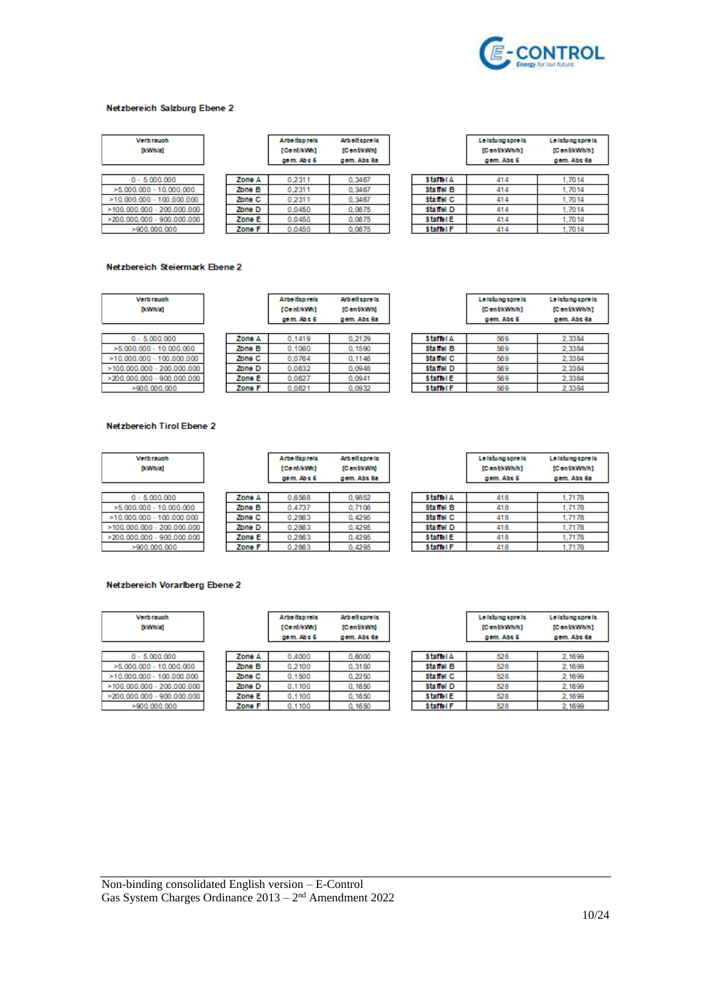

#### Netzbereich Salzburg Ebene 2

| <b>Verbrauch</b><br>[kWh/a]     |        | Arbeitspreis<br>[Cont/kWh]<br>gom. Ab c 6 | <b>Arbeitspreis</b><br>[C on the Whi<br>gem. Abs 6a |                  | Leiching core ic<br>[ContitWhih]<br>gem. Abs 6 | Le letung spre le<br>[CentikWivh]<br>gem. Abs 6a |
|---------------------------------|--------|-------------------------------------------|-----------------------------------------------------|------------------|------------------------------------------------|--------------------------------------------------|
| $0 - 5,000,000$                 | Zone A | 0.2311                                    | 0.3467                                              | <b>Staffel A</b> | 414                                            | 1.7014                                           |
| $>5.000.000 - 10.000.000$       | Zone B | 0.2311                                    | 0.3467                                              | <b>Statiel B</b> | 414                                            | 1,7014                                           |
| $>10.000.000 - 100.000.000$     | Zone C | 0.2311                                    | 0.3467                                              | <b>Statiol C</b> | 414                                            | 1,7014                                           |
| $>$ 100.000.000 - 200.000.000   | Zone D | 0.0450                                    | 0.0675                                              | Statiel D        | 414                                            | 1,7014                                           |
| 900.000.000<br>$>200.000.000 -$ | Zone E | 0.0450                                    | 0.0675                                              | Staffel E        | 414                                            | 1,7014                                           |
| >900.000.000                    | Zone F | 0.0450                                    | 0.0675                                              | Staffel F        | 414                                            | 1.7014                                           |

### Netzbereich Steiermark Ebene 2

| <b>Verbrauch</b><br>[kWh/a]    |        | Arbeitspreis<br>[Conf/kWn]<br>gem. Ab c 6 | <b>Arbeitspreis</b><br>[CentikWh]<br>gem. Abs 8a |                  | Le Ichi na core le<br>[ContitWhih]<br>gem. Abs 6 | Le Ichi na core le<br>[ContikWivih]<br>gem. Abs 8a |
|--------------------------------|--------|-------------------------------------------|--------------------------------------------------|------------------|--------------------------------------------------|----------------------------------------------------|
|                                |        |                                           |                                                  |                  |                                                  |                                                    |
| $0 - 5,000,000$                | Zone A | 0.1419                                    | 0.2129                                           | <b>Staffel A</b> | 569                                              | 2.3384                                             |
| $>5.000.000 - 10.000.000$      | Zone B | 0.1060                                    | 0.1590                                           | Statiel B        | 569                                              | 2.3384                                             |
| $>10.000.000 - 100.000.000$    | Zone C | 0.0764                                    | 0.1146                                           | <b>Statiel C</b> | 569                                              | 2.3384                                             |
| >100.000.000<br>$-200.000.000$ | Zone D | 0.0632                                    | 0.0948                                           | Statiel D        | 569                                              | 2.3384                                             |
| >200.000.000<br>900.000.000    | Zone E | 0.0627                                    | 0.0941                                           | Staffel E        | 569                                              | 2.3384                                             |
| >900.000.000                   | Zone F | 0.0621                                    | 0.0932                                           | Staffel F        | 569                                              | 2.3384                                             |

### Netzbereich Tirol Ebene 2

|        | Arbeitspreis<br>[Conf/kWh]<br>gom. Ab c 6 | <b>Arbeit spreis</b><br>[C on the Whi<br>gem. Abs 8a |                  | Le Islama spre le<br>[ContitWhih]<br>gem. Abu 6 | Le Islama spre Is<br>[CentikWivih]<br>gem. Abs 6a |
|--------|-------------------------------------------|------------------------------------------------------|------------------|-------------------------------------------------|---------------------------------------------------|
|        |                                           |                                                      |                  |                                                 |                                                   |
| Zone A | 0.6568                                    | 0.9852                                               | <b>Staffel A</b> | 418                                             | 1.7178                                            |
| Zone B | 0.4737                                    | 0.7106                                               | Statiel B        | 418                                             | 1.7178                                            |
| Zone C | 0.2863                                    | 0.4295                                               | Statiel C        | 418                                             | 1.7178                                            |
| Zone D | 0.2863                                    | 0.4295                                               | Statiel D        | 418                                             | 1.7178                                            |
| Zone E | 0.2863                                    | 0.4295                                               | Staffel E        | 418                                             | 1,7178                                            |
| Zone F | 0.2863                                    | 0,4295                                               | Staffel F        | 418                                             | 1.7178                                            |
|        |                                           |                                                      |                  |                                                 |                                                   |

## Netzbereich Vorarlberg Ebene 2

| <b>Verb rauch</b><br>[kWh/a]  |        | Arbeitspreis<br>[Conf/kWn]<br>gom. Ab c 6 | Arbeitspreis<br>[ContikWh]<br>gem. Abs 8a |                  | Le Islama spre le<br>[ContitWhih]<br>gem. Abs 6 | Le Islama spre le<br>[ContikWivih]<br>gem. Abs 8a |
|-------------------------------|--------|-------------------------------------------|-------------------------------------------|------------------|-------------------------------------------------|---------------------------------------------------|
|                               |        |                                           |                                           |                  |                                                 |                                                   |
| $0 - 5,000,000$               | Zone A | 0.4000                                    | 0.6000                                    | <b>Staffel A</b> | 528                                             | 2,1699                                            |
| $>5.000.000 - 10.000.000$     | Zone B | 0.2100                                    | 0.3150                                    | Statiel B        | 528                                             | 2,1699                                            |
| $>10.000.000 - 100.000.000$   | Zone C | 0.1500                                    | 0.2250                                    | Statiel C        | 528                                             | 2,1699                                            |
| $>$ 100.000.000 - 200.000.000 | Zone D | 0.1100                                    | 0.1650                                    | Statiel D        | 528                                             | 2.1699                                            |
| >200.000.000<br>900.000.000   | Zone E | 0.1100                                    | 0.1650                                    | Staffel E        | 528                                             | 2.1699                                            |
| >900.000.000                  | Zone F | 0.1100                                    | 0.1650                                    | Staffel F        | 528                                             | 2.1699                                            |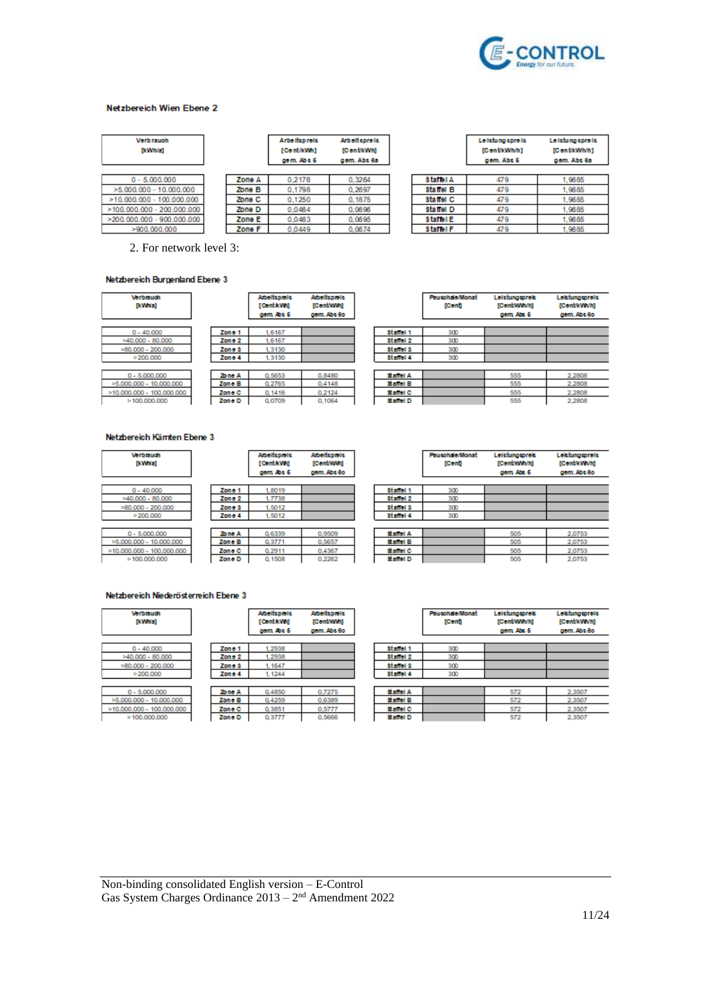

#### Netzbereich Wien Ebene 2

| <b>Vorb rauch</b><br>[kWh/a]  |        | Arbeitspreis<br>[Cont/kWn]<br>gem. Ab c 6 | <b>Arbeitspreis</b><br>[C on the Whi<br>gem. Abs 6a |                  | Leiching core ic<br>[ContitWhih]<br>gem. Abs 6 | Le Islung spre ls<br>[Cent/kWh/h]<br>gem. Abs 6a |
|-------------------------------|--------|-------------------------------------------|-----------------------------------------------------|------------------|------------------------------------------------|--------------------------------------------------|
|                               |        |                                           |                                                     |                  |                                                |                                                  |
| $0 - 5.000.000$               | Zone A | 0.2176                                    | 0.3264                                              | <b>Staffel A</b> | 479                                            | 1.9685                                           |
| $> 5.000.000 - 10.000.000$    | Zone B | 0.1798                                    | 0.2697                                              | <b>Statiel B</b> | 479                                            | .9685                                            |
| $>10.000.000 - 100.000.000$   | Zone C | 0.1250                                    | 0.1875                                              | <b>Statiel C</b> | 479                                            | 1.9685                                           |
| $>$ 100.000.000 - 200.000.000 | Zone D | 0.0464                                    | 0.0696                                              | Statiel D        | 479                                            | 1.9685                                           |
| $>200.000.000 - 900.000.000$  | Zone E | 0.0463                                    | 0.0695                                              | Staffel E        | 479                                            | 1.9685                                           |
| >900.000.000                  | Zone F | 0.0449                                    | 0.0674                                              | Staffel F        | 479                                            | .9685                                            |

2. For network level 3:

#### Netzbereich Burgenland Ebene 3

| <b>Vorbrauch</b><br>[kWwwa] |         | <b>Abelispiels</b><br>[Confa.Wh]<br>gem Abs 6 | <b>Abelfcoreto</b><br>[Cent/KWn]<br>gem. Abs 8o |
|-----------------------------|---------|-----------------------------------------------|-------------------------------------------------|
| $0 - 40,000$                | Zone 1  | 1.6167                                        |                                                 |
| $>40.000 - 80.000$          | Zon o 2 | 1.6167                                        |                                                 |
| $>80.000 - 200.000$         | Zon o 3 | 1.3130                                        |                                                 |
| >200.000                    | Zone 4  | 1.3130                                        |                                                 |
|                             |         |                                               |                                                 |
| $0 - 5.000.000$             | Zo no A | 0.5653                                        | 0.8480                                          |
| $>5.000.000 - 10.000.000$   | Zone B  | 0.2765                                        | 0.4148                                          |
| $>10.000.000 - 100.000.000$ | Zone C  | 0.1416                                        | 0.2124                                          |
| >100.000.000                | Zone D  | 0.0709                                        | 0.1064                                          |

|           | <b>Pausohale/Monat</b><br><b>TConft</b> | Leichmorprek-<br><b>ICentRWWM</b><br>gem. Abs 6 | Leichingspreis<br>[Cent/kWh/h]<br>gem. Abs 8o |
|-----------|-----------------------------------------|-------------------------------------------------|-----------------------------------------------|
| Statiol 1 | 300                                     |                                                 |                                               |
| Statiol 2 | 300                                     |                                                 |                                               |
| station 3 | 300                                     |                                                 |                                               |
| Statiol 4 | 300                                     |                                                 |                                               |
|           |                                         |                                                 |                                               |
| Staffel A |                                         | 555                                             | 2.2808                                        |
| Staffel B |                                         | 555                                             | 2.2808                                        |
| Staffel C |                                         | 555                                             | 2.2808                                        |
| Staffel D |                                         | 555                                             | 2.2808                                        |

### Netzbereich Kämten Ebene 3

| <b>Verbrauch</b><br>[kWwwa] |         | <b>Abelicatele</b><br><b>TConta:VMI</b><br>gem Abs 6 | <b>Abelfcoreto</b><br>[Cent/KWi]<br>gem. Abs 8o |           | <b>Pausohale/Monat</b><br>[Cont] | Leichmagnek<br>[Conf/KWM]<br>gem Abs 6 | Leichingspreis<br>[Cent/kWM]<br>gem. Abs 8o |
|-----------------------------|---------|------------------------------------------------------|-------------------------------------------------|-----------|----------------------------------|----------------------------------------|---------------------------------------------|
| $0 - 40.000$                | Zono 1  | 1,8019                                               |                                                 | Statiol 1 | 300                              |                                        |                                             |
| $=40.000 - 80.000$          | Zono 2  | 1,7738                                               |                                                 | stanol 2  | 300                              |                                        |                                             |
| $=80.000 - 200.000$         | Zon o 3 | 1,5012                                               |                                                 | station 3 | 300                              |                                        |                                             |
| $= 200.000$                 | Zone 4  | 1.5012                                               |                                                 | Statiol 4 | 300                              |                                        |                                             |
| $0 - 5.000.000$             | Zo no A | 0.6339                                               | 0.9509                                          | Station A |                                  | 505                                    | 2.0753                                      |
| $>5.000.000 - 10.000.000$   | Zone B  | 0.3771                                               | 0.5657                                          | Staffel B |                                  | 505                                    | 2,0753                                      |
| $>10.000.000 - 100.000.000$ | Zon e C | 0.2911                                               | 0.4367                                          | Staffel C |                                  | 505                                    | 2,0753                                      |
| >100.000.000                | Zone D  | 0.1508                                               | 0.2262                                          | Staffel D |                                  | 505                                    | 2,0753                                      |

### Netzbereich Niederösterreich Ebene 3

| <b>Verbrauch</b><br><b>TkWWVall</b> |         | <b>Abellspiels</b><br>[Confa.Wh]<br>gem. Abs 6 | <b>Abelicatele</b><br>[Contitive]<br>gem. Abs 8o |             |
|-------------------------------------|---------|------------------------------------------------|--------------------------------------------------|-------------|
| $0 - 40.000$                        | Zone 1  | 1,2938                                         |                                                  | Stan        |
| $=40.000 - 80.000$                  | Zon o 2 | 1,2938                                         |                                                  | <b>Stan</b> |
| $>80.000 - 200.000$                 | Zon o 3 | 1.1647                                         |                                                  | <b>Stan</b> |
| >200.000                            | Zon e 4 | 1.1244                                         |                                                  | <b>Stan</b> |
| $0 - 5.000.000$                     | Zo no A | 0.4850                                         | 0.7275                                           | Staff       |
| $>5.000.000 - 10.000.000$           | Zone B  | 0.4259                                         | 0.6389                                           | Staff       |
| $>10.000.000 - 100.000.000$         | Zone C  | 0.3851                                         | 0.5777                                           | Staff       |
| >100.000.000                        | Zone D  | 0.3777                                         | 0.5666                                           | Staff       |

|                  | <b>Pausohale/Monat</b><br>[Cent] | Leichmorprek<br>[Cent/Mwwh]<br>gem. Abs 6 | Lektungspreis<br>[Cent/kWh/h]<br>gem. Abs 8o |
|------------------|----------------------------------|-------------------------------------------|----------------------------------------------|
| <b>Statiol 1</b> | 300                              |                                           |                                              |
| Statiol 2        | 300                              |                                           |                                              |
| station 3        | 300                              |                                           |                                              |
| <b>Staffel 4</b> | 300                              |                                           |                                              |
|                  |                                  |                                           |                                              |
| Staffel A        |                                  | 572                                       | 2,3507                                       |
| Staffel B        |                                  | 572                                       | 2,3507                                       |
| Staffel C        |                                  | 572                                       | 2.3507                                       |
| Staffel D        |                                  | 572                                       | 2,3507                                       |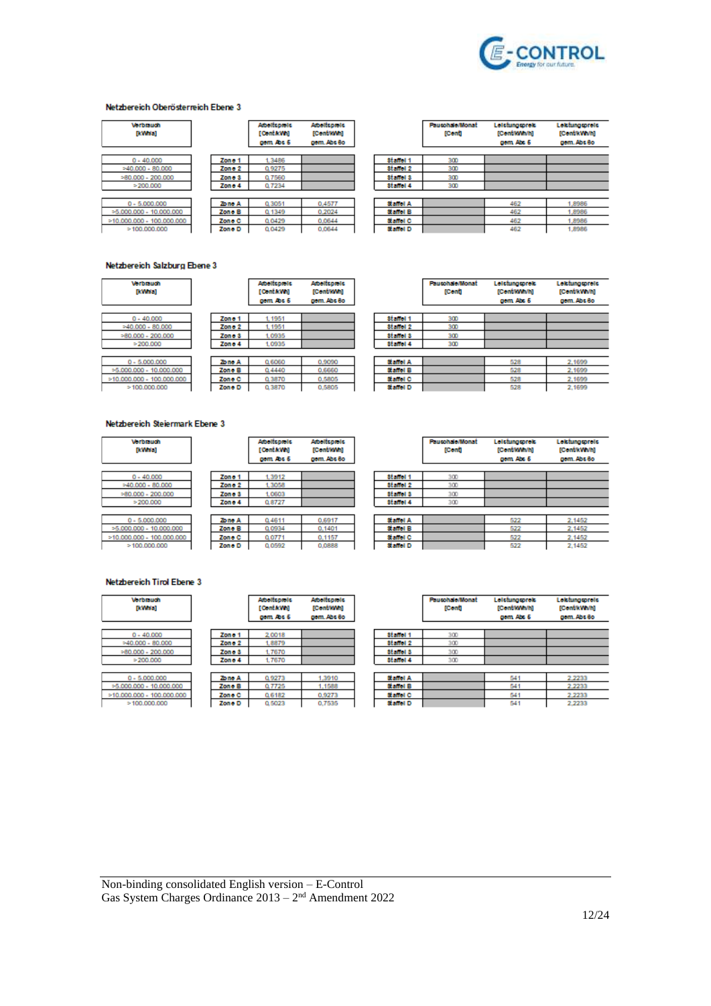

#### Netzbereich Oberösterreich Ebene 3

| <b>Vorbiauch</b><br>[kWwwa] |                   | <b>Abelfspiels</b><br>[ConfaWh]<br>gem Abs 6 | <b>Abelispiels</b><br>[Cont/WW]<br>gem. Abs 8o |
|-----------------------------|-------------------|----------------------------------------------|------------------------------------------------|
| $0 - 40.000$                | Zono 1            | 1.3486                                       |                                                |
| $>40.000 - 80.000$          | Zone <sub>2</sub> | 0.9275                                       |                                                |
| $>80.000 - 200.000$         | Zone <sub>3</sub> | 0.7560                                       |                                                |
| >200.000                    | Zono 4            | 0.7234                                       |                                                |
|                             |                   |                                              |                                                |
| $0 - 5,000,000$             | Zone A            | 0.3051                                       | 0.4577                                         |
| $>5.000.000 - 10.000.000$   | Zone B            | 0.1349                                       | 0.2024                                         |
| $>10.000.000 - 100.000.000$ | Zone C            | 0.0429                                       | 0.0644                                         |
| >100.000.000                | Zone D            | 0.0429                                       | 0.0644                                         |

|                  | <b>Paucohale/Monat</b><br>[Conf] | Leichingspreis<br>[Cont/KWM]<br>gem Abs 6 | Lektungspreis<br>[CentrkWivin]<br>gem. Abs 8o |
|------------------|----------------------------------|-------------------------------------------|-----------------------------------------------|
| Statiol 1        | 300                              |                                           |                                               |
| <b>Staffel 2</b> | 300                              |                                           |                                               |
| <b>Staffel 3</b> | 300                              |                                           |                                               |
| Statiol 4        | 300                              |                                           |                                               |
|                  |                                  |                                           |                                               |
| Staffel A        |                                  | 462                                       | 1,8986                                        |
| <b>Staffel B</b> |                                  | 462                                       | 1,8986                                        |
| Statiol C        |                                  | 462                                       | 1,8986                                        |
| Staffel D        |                                  | 462                                       | 1,8986                                        |

#### Netzbereich Salzburg Ebene 3

| <b>Vorbrauch</b><br><b>IkWiral</b> |         | <b>Abellspiels</b><br>[Confa.Wh]<br>gem Abs 6 | <b>Abelfcoreto</b><br>[Contitive]<br>gem. Abs 8o |
|------------------------------------|---------|-----------------------------------------------|--------------------------------------------------|
| $0 - 40.000$                       | Zone 1  | 1.1951                                        |                                                  |
| $=40.000 - 80.000$                 | Zon o 2 | 1.1951                                        |                                                  |
| $>80.000 - 200.000$                | Zon o 3 | 1.0935                                        |                                                  |
| >200.000                           | Zone 4  | 1.0935                                        |                                                  |
| $0 - 5.000.000$                    | Zo no A | 0.6060                                        | 0.9090                                           |
| $>5.000.000 - 10.000.000$          | Zone B  | 0.4440                                        | 0.6660                                           |
| $>10.000.000 - 100.000.000$        | Zone C  | 0.3870                                        | 0.5805                                           |
| >100.000.000                       | Zone D  | 0.3870                                        | 0.5805                                           |

|                  | <b>Pausohale/Monat</b><br><b>TConft</b> | Leichingspreis<br>[Cent/Mwwh]<br>gem. Abs 6 | Lektungspreis<br>[Cent/kWh/h]<br>gem. Abs 8o |
|------------------|-----------------------------------------|---------------------------------------------|----------------------------------------------|
| Statiol 1        | 300                                     |                                             |                                              |
| Statiol 2        | 300                                     |                                             |                                              |
| station 3        | 300                                     |                                             |                                              |
| Statiol 4        | 300                                     |                                             |                                              |
| Staffel A        |                                         | 528                                         | 2,1699                                       |
| <b>Staffel B</b> |                                         | 528                                         | 2.1699                                       |
| Staffel C        |                                         | 528                                         | 2.1699                                       |
| Staffel D        |                                         | 528                                         | 2,1699                                       |

#### Netzbereich Steiermark Ebene 3

 $\overline{\phantom{0}}$ 

| <b><i><u>Morthrauch</u></i></b><br><b>IkWiral</b> |
|---------------------------------------------------|
| $0 - 40.000$                                      |
| $>40.000 + 80.000$<br>$>80.000 - 200.000$         |
| >200.000                                          |
| $0 - 5,000,000$                                   |
| $=5.000.000 - 10.000.000$                         |
| $>10.000.000 - 100.000.000$                       |
| >100.000.000                                      |

|         | <b>Abelicatele</b><br><b>TContakWhi</b><br>gem Abs 6 | <b>Abeltspiels</b><br>[Cent/MWn]<br>aem. Abs Bo |
|---------|------------------------------------------------------|-------------------------------------------------|
| Zone 1  | 1.3912                                               |                                                 |
| Zon o 2 | 1,3058                                               |                                                 |
| Zon o 3 | 1.0603                                               |                                                 |
| Zone 4  | 0.8727                                               |                                                 |
|         |                                                      |                                                 |
| Zo no A | 0.4611                                               | 0.6917                                          |
| Zone B  | 0.0934                                               | 0.1401                                          |
| Zone C  | 0.0771                                               | 0.1157                                          |
| Zone D  | 0.0592                                               | 0.0888                                          |

|                  | <b>Pausohale/Monat</b><br>[Cent] | Leichingspreis<br>[Cent/MWM]<br>gem. Abs 6 | Leichingspreis<br>[Cent/kWh/h]<br>gem, Abs Bo |
|------------------|----------------------------------|--------------------------------------------|-----------------------------------------------|
| <b>Statiol 1</b> | 300                              |                                            |                                               |
| Statiol 2        | 300                              |                                            |                                               |
| Statiol 3        | 300                              |                                            |                                               |
| Statiol 4        | 300                              |                                            |                                               |
| <b>Staffel A</b> |                                  | 522                                        | 2.1452                                        |
| Staffol B        |                                  | 522                                        | 2.1452                                        |
| Staffel C        |                                  | 522                                        | 2.1452                                        |
| Staffel D        |                                  | 522                                        | 2.1452                                        |

### Netzbereich Tirol Ebene 3

Verbrauch<br>[kWh'a]

| <b>Vorbrauch</b><br>[kWwwa] |                   | <b>Abelispiels</b><br>[ConfaWe]<br>gem Abs 6 | <b>Abelispels</b><br>[Contriven]<br>gem. Abs Bo |
|-----------------------------|-------------------|----------------------------------------------|-------------------------------------------------|
| $0 - 40.000$                | Zone 1            | 2.0018                                       |                                                 |
| $>40.000 - 80.000$          | Zon e 2           | 1,8879                                       |                                                 |
| $=80.000 - 200.000$         | Zone <sub>3</sub> | 1.7670                                       |                                                 |
| >200.000                    | Zone 4            | 1,7670                                       |                                                 |
|                             |                   |                                              |                                                 |
| $0 - 5,000,000$             | Zono A            | 0.9273                                       | 1.3910                                          |
| $>5.000.000 - 10.000.000$   | Zone B            | 0.7725                                       | 1.1588                                          |
| $>10.000.000 - 100.000.000$ | Zone C            | 0.6182                                       | 0.9273                                          |
| >100.000.000                | Zone D            | 0.5023                                       | 0.7535                                          |

|                  | <b>Fausohale/Monat</b><br>[Conf] | Leichingspreis<br>[Cent/MWM]<br>gem Abs 6 | Leichinggorete<br>[Cent/kWh/h]<br>gem. Abs 8o |
|------------------|----------------------------------|-------------------------------------------|-----------------------------------------------|
| statiol 1        | 300                              |                                           |                                               |
| Statiol 2        | 300                              |                                           |                                               |
| statiol 3        | 300                              |                                           |                                               |
| <b>Staffel 4</b> | 300                              |                                           |                                               |
| Staffel A        |                                  | 541                                       | 2.2233                                        |
| Staffol B        |                                  | 541                                       | 2.2233                                        |
| Staffol C        |                                  | 541                                       | 2.2233                                        |
| Staffel D        |                                  | 541                                       | 2.2233                                        |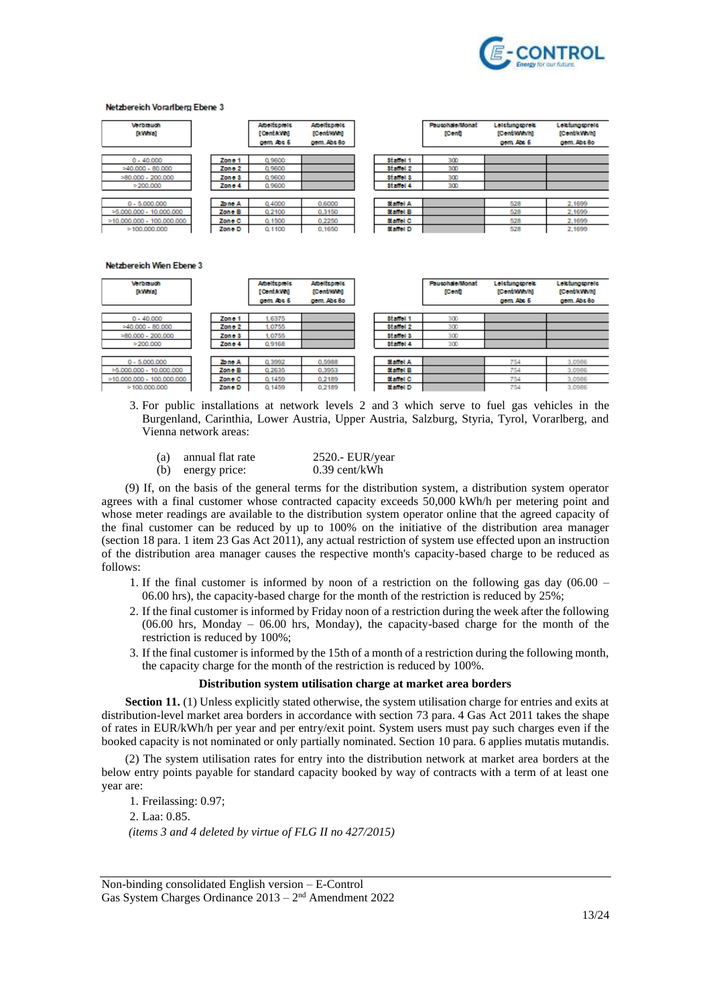

#### Netzbereich Vorarlberg Ebene 3

| <b>Vorbrauch</b><br>[kWwa]  |         | <b>Abelfuptels</b><br>[ConfaWe]<br>gem Abs 6 | <b>Abeltspiels</b><br>[Continven]<br>gem. Abs 8o |           | <b>Pausohale/Monat</b><br><b>[Cent]</b> | Leichmontrek<br>[Conf/KWM]<br>gem Abs 6 | Lektungspreis<br>[CentrkWivih]<br>gem. Abs 8o |
|-----------------------------|---------|----------------------------------------------|--------------------------------------------------|-----------|-----------------------------------------|-----------------------------------------|-----------------------------------------------|
| $0 - 40.000$                | Zone 1  | 0.9600                                       |                                                  | Statiol 1 | 300                                     |                                         |                                               |
| $>40.000 - 80.000$          | Zon o 2 | 0.9600                                       |                                                  | Stanol 2  | 300                                     |                                         |                                               |
| $=80.000 - 200.000$         | Zone 3  | 0.9600                                       |                                                  | stanol 3  | 300                                     |                                         |                                               |
| >200.000                    | Zon e 4 | 0.9600                                       |                                                  | Staffel 4 | 300                                     |                                         |                                               |
|                             |         |                                              |                                                  |           |                                         |                                         |                                               |
| $0 - 5.000,000$             | Zono A  | 0.4000                                       | 0.6000                                           | Staffel A |                                         | 528                                     | 2.1699                                        |
| $>5.000.000 - 10.000.000$   | Zone B  | 0.2100                                       | 0.3150                                           | Staffol B |                                         | 528                                     | 2.1699                                        |
| $>10.000.000 - 100.000.000$ | Zone C  | 0.1500                                       | 0.2250                                           | Staffel C |                                         | 528                                     | 2.1699                                        |
| >100.000.000                | Zone D  | 0.1100                                       | 0.1650                                           | Staffel D |                                         | 528                                     | 2,1699                                        |

Netzbereich Wien Ebene 3

| <b>Verbrauch</b><br>[kWwwa] |         | <b>Abeltspiels</b><br><b>TConta:VMI</b><br>gem Abs 6 | <b>Abellsbiels</b><br>[Cont/KWn]<br>gem. Abs 8o |           | <b>Pausohale/Monat</b><br>[Conf] | Leichinggreic<br>[Conf/KWM]<br>gem Abs 6 | Lektunggoreta<br>[CentrkWivh]<br>gem. Abs Bo |
|-----------------------------|---------|------------------------------------------------------|-------------------------------------------------|-----------|----------------------------------|------------------------------------------|----------------------------------------------|
| $0 - 40,000$                | Zone 1  | 16375                                                |                                                 | Statiol 1 | 300                              |                                          |                                              |
| $=40.000 - 80.000$          | Zono 2  | 1.0755                                               |                                                 | Statiol 2 | 300                              |                                          |                                              |
| $>80.000 - 200.000$         | Zone 3  | 1.0755                                               |                                                 | Statiol 3 | 300                              |                                          |                                              |
| $= 200.000$                 | Zon o 4 | 0.9168                                               |                                                 | Statiol 4 | 300                              |                                          |                                              |
| $0 - 5.000.000$             | Zone A  | 0.3992                                               | 0.5988                                          | Staffel A |                                  | 754                                      | 3.0986                                       |
| $>5.000.000 - 10.000.000$   | Zone B  | 0.2635                                               | 0.3953                                          | Staffel B |                                  | 754                                      | 3.0986                                       |
| $>10.000.000 - 100.000.000$ | Zone C  | Q 1459                                               | 0.2189                                          | Staffel C |                                  | 754                                      | 3.0986                                       |
| >100.000.000                | Zone D  | Q 1459                                               | 0.2189                                          | Staffel D |                                  | 754                                      | 3.0986                                       |

- 3. For public installations at network levels 2 and 3 which serve to fuel gas vehicles in the Burgenland, Carinthia, Lower Austria, Upper Austria, Salzburg, Styria, Tyrol, Vorarlberg, and Vienna network areas:
	- (a) annual flat rate  $2520.5$  EUR/year<br>
	(b) energy price:  $0.39$  cent/kWh (b) energy price:

(9) If, on the basis of the general terms for the distribution system, a distribution system operator agrees with a final customer whose contracted capacity exceeds 50,000 kWh/h per metering point and whose meter readings are available to the distribution system operator online that the agreed capacity of the final customer can be reduced by up to 100% on the initiative of the distribution area manager (section 18 para. 1 item 23 Gas Act 2011), any actual restriction of system use effected upon an instruction of the distribution area manager causes the respective month's capacity-based charge to be reduced as follows:

- 1. If the final customer is informed by noon of a restriction on the following gas day (06.00 06.00 hrs), the capacity-based charge for the month of the restriction is reduced by 25%;
- 2. If the final customer is informed by Friday noon of a restriction during the week after the following (06.00 hrs, Monday – 06.00 hrs, Monday), the capacity-based charge for the month of the restriction is reduced by 100%;
- 3. If the final customer is informed by the 15th of a month of a restriction during the following month, the capacity charge for the month of the restriction is reduced by 100%.

#### **Distribution system utilisation charge at market area borders**

**Section 11.** (1) Unless explicitly stated otherwise, the system utilisation charge for entries and exits at distribution-level market area borders in accordance with section 73 para. 4 Gas Act 2011 takes the shape of rates in EUR/kWh/h per year and per entry/exit point. System users must pay such charges even if the booked capacity is not nominated or only partially nominated. Section 10 para. 6 applies mutatis mutandis.

(2) The system utilisation rates for entry into the distribution network at market area borders at the below entry points payable for standard capacity booked by way of contracts with a term of at least one year are:

1. Freilassing: 0.97; 2. Laa: 0.85. *(items 3 and 4 deleted by virtue of FLG II no 427/2015)*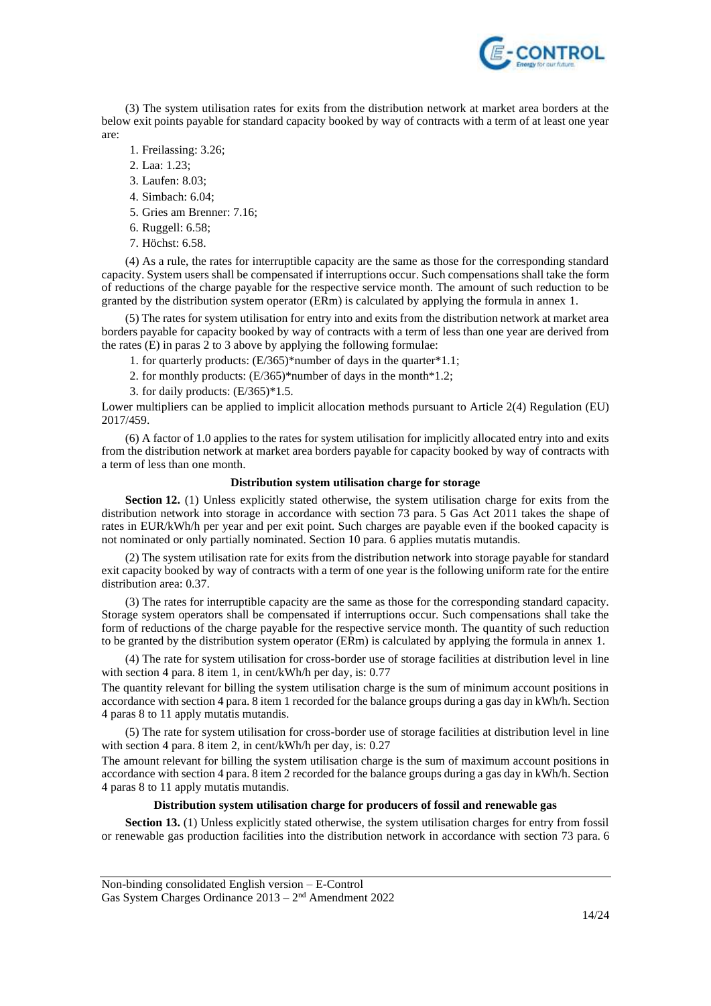

(3) The system utilisation rates for exits from the distribution network at market area borders at the below exit points payable for standard capacity booked by way of contracts with a term of at least one year are:

- 1. Freilassing: 3.26;
- 2. Laa: 1.23;
- 3. Laufen: 8.03;
- 4. Simbach: 6.04;
- 5. Gries am Brenner: 7.16;
- 6. Ruggell: 6.58;
- 7. Höchst: 6.58.

(4) As a rule, the rates for interruptible capacity are the same as those for the corresponding standard capacity. System users shall be compensated if interruptions occur. Such compensations shall take the form of reductions of the charge payable for the respective service month. The amount of such reduction to be granted by the distribution system operator (ERm) is calculated by applying the formula in annex 1.

(5) The rates for system utilisation for entry into and exits from the distribution network at market area borders payable for capacity booked by way of contracts with a term of less than one year are derived from the rates  $(E)$  in paras 2 to 3 above by applying the following formulae:

- 1. for quarterly products: (E/365)\*number of days in the quarter\*1.1;
- 2. for monthly products: (E/365)\*number of days in the month\*1.2;
- 3. for daily products:  $(E/365)*1.5$ .

Lower multipliers can be applied to implicit allocation methods pursuant to Article 2(4) Regulation (EU) 2017/459.

(6) A factor of 1.0 applies to the rates for system utilisation for implicitly allocated entry into and exits from the distribution network at market area borders payable for capacity booked by way of contracts with a term of less than one month.

### **Distribution system utilisation charge for storage**

**Section 12.** (1) Unless explicitly stated otherwise, the system utilisation charge for exits from the distribution network into storage in accordance with section 73 para. 5 Gas Act 2011 takes the shape of rates in EUR/kWh/h per year and per exit point. Such charges are payable even if the booked capacity is not nominated or only partially nominated. Section 10 para. 6 applies mutatis mutandis.

(2) The system utilisation rate for exits from the distribution network into storage payable for standard exit capacity booked by way of contracts with a term of one year is the following uniform rate for the entire distribution area: 0.37.

(3) The rates for interruptible capacity are the same as those for the corresponding standard capacity. Storage system operators shall be compensated if interruptions occur. Such compensations shall take the form of reductions of the charge payable for the respective service month. The quantity of such reduction to be granted by the distribution system operator (ERm) is calculated by applying the formula in annex 1.

(4) The rate for system utilisation for cross-border use of storage facilities at distribution level in line with section 4 para. 8 item 1, in cent/kWh/h per day, is: 0.77

The quantity relevant for billing the system utilisation charge is the sum of minimum account positions in accordance with section 4 para. 8 item 1 recorded for the balance groups during a gas day in kWh/h. Section 4 paras 8 to 11 apply mutatis mutandis.

(5) The rate for system utilisation for cross-border use of storage facilities at distribution level in line with section 4 para. 8 item 2, in cent/kWh/h per day, is: 0.27

The amount relevant for billing the system utilisation charge is the sum of maximum account positions in accordance with section 4 para. 8 item 2 recorded for the balance groups during a gas day in kWh/h. Section 4 paras 8 to 11 apply mutatis mutandis.

### **Distribution system utilisation charge for producers of fossil and renewable gas**

**Section 13.** (1) Unless explicitly stated otherwise, the system utilisation charges for entry from fossil or renewable gas production facilities into the distribution network in accordance with section 73 para. 6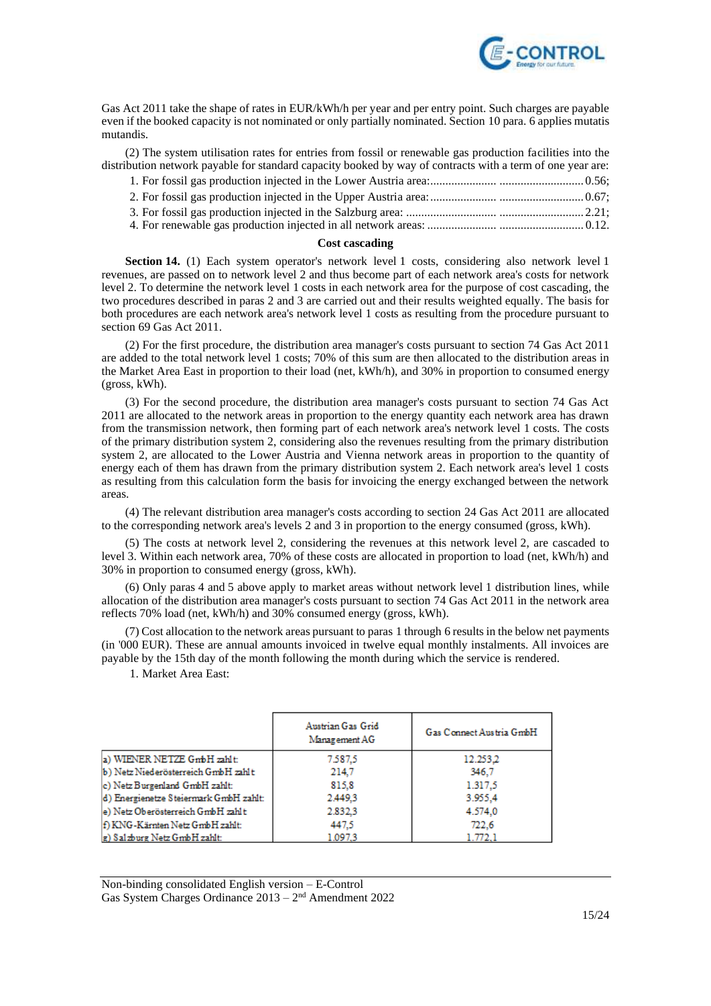

Gas Act 2011 take the shape of rates in EUR/kWh/h per year and per entry point. Such charges are payable even if the booked capacity is not nominated or only partially nominated. Section 10 para. 6 applies mutatis mutandis.

(2) The system utilisation rates for entries from fossil or renewable gas production facilities into the distribution network payable for standard capacity booked by way of contracts with a term of one year are:

#### **Cost cascading**

**Section 14.** (1) Each system operator's network level 1 costs, considering also network level 1 revenues, are passed on to network level 2 and thus become part of each network area's costs for network level 2. To determine the network level 1 costs in each network area for the purpose of cost cascading, the two procedures described in paras 2 and 3 are carried out and their results weighted equally. The basis for both procedures are each network area's network level 1 costs as resulting from the procedure pursuant to section 69 Gas Act 2011.

(2) For the first procedure, the distribution area manager's costs pursuant to section 74 Gas Act 2011 are added to the total network level 1 costs; 70% of this sum are then allocated to the distribution areas in the Market Area East in proportion to their load (net, kWh/h), and 30% in proportion to consumed energy (gross, kWh).

(3) For the second procedure, the distribution area manager's costs pursuant to section 74 Gas Act 2011 are allocated to the network areas in proportion to the energy quantity each network area has drawn from the transmission network, then forming part of each network area's network level 1 costs. The costs of the primary distribution system 2, considering also the revenues resulting from the primary distribution system 2, are allocated to the Lower Austria and Vienna network areas in proportion to the quantity of energy each of them has drawn from the primary distribution system 2. Each network area's level 1 costs as resulting from this calculation form the basis for invoicing the energy exchanged between the network areas.

(4) The relevant distribution area manager's costs according to section 24 Gas Act 2011 are allocated to the corresponding network area's levels 2 and 3 in proportion to the energy consumed (gross, kWh).

(5) The costs at network level 2, considering the revenues at this network level 2, are cascaded to level 3. Within each network area, 70% of these costs are allocated in proportion to load (net, kWh/h) and 30% in proportion to consumed energy (gross, kWh).

(6) Only paras 4 and 5 above apply to market areas without network level 1 distribution lines, while allocation of the distribution area manager's costs pursuant to section 74 Gas Act 2011 in the network area reflects 70% load (net, kWh/h) and 30% consumed energy (gross, kWh).

(7) Cost allocation to the network areas pursuant to paras 1 through 6 results in the below net payments (in '000 EUR). These are annual amounts invoiced in twelve equal monthly instalments. All invoices are payable by the 15th day of the month following the month during which the service is rendered.

1. Market Area East:

|                                        | Austrian Gas Grid<br>Management AG | Gas Connect Austria GmbH |
|----------------------------------------|------------------------------------|--------------------------|
| a) WIENER NETZE GmbH zahlt:            | 7.587.5                            | 12.253.2                 |
| b) Netz Niederösterreich GmbH zahlt    | 214.7                              | 346.7                    |
| c) Netz Burgenland GmbH zahlt:         | 815.8                              | 1.317.5                  |
| d) Energienetze Steiermark GmbH zahlt: | 2,449.3                            | 3.955,4                  |
| e) Netz Oberösterreich GmbH zahlt      | 2.832.3                            | 4.574.0                  |
| f) KNG-Kärnten Netz GmbH zahlt:        | 447.5                              | 722.6                    |
| g) Salzburg Netz GmbH zahlt:           | 1.097.3                            | 1.772.1                  |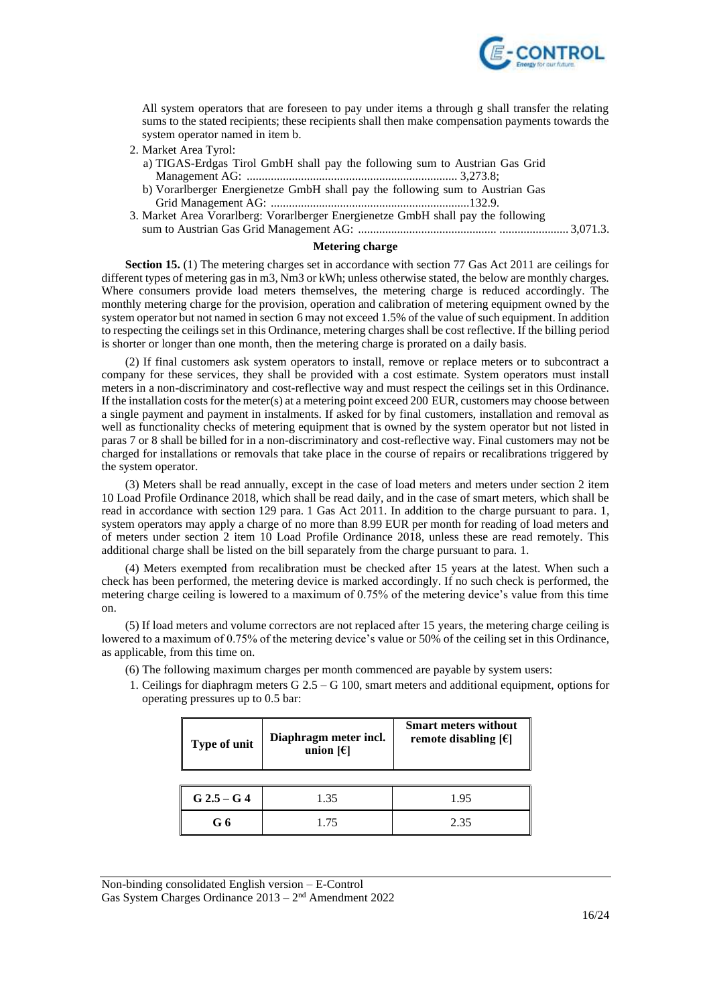

All system operators that are foreseen to pay under items a through g shall transfer the relating sums to the stated recipients; these recipients shall then make compensation payments towards the system operator named in item b.

- 2. Market Area Tyrol:
	- a) TIGAS-Erdgas Tirol GmbH shall pay the following sum to Austrian Gas Grid Management AG: ...................................................................... 3,273.8;
	- b) Vorarlberger Energienetze GmbH shall pay the following sum to Austrian Gas Grid Management AG: ..................................................................132.9.
- 3. Market Area Vorarlberg: Vorarlberger Energienetze GmbH shall pay the following sum to Austrian Gas Grid Management AG: .............................................. ....................... 3,071.3.

#### **Metering charge**

**Section 15.** (1) The metering charges set in accordance with section 77 Gas Act 2011 are ceilings for different types of metering gas in m3, Nm3 or kWh; unless otherwise stated, the below are monthly charges. Where consumers provide load meters themselves, the metering charge is reduced accordingly. The monthly metering charge for the provision, operation and calibration of metering equipment owned by the system operator but not named in section 6 may not exceed 1.5% of the value of such equipment. In addition to respecting the ceilings set in this Ordinance, metering charges shall be cost reflective. If the billing period is shorter or longer than one month, then the metering charge is prorated on a daily basis.

(2) If final customers ask system operators to install, remove or replace meters or to subcontract a company for these services, they shall be provided with a cost estimate. System operators must install meters in a non-discriminatory and cost-reflective way and must respect the ceilings set in this Ordinance. If the installation costs for the meter(s) at a metering point exceed 200 EUR, customers may choose between a single payment and payment in instalments. If asked for by final customers, installation and removal as well as functionality checks of metering equipment that is owned by the system operator but not listed in paras 7 or 8 shall be billed for in a non-discriminatory and cost-reflective way. Final customers may not be charged for installations or removals that take place in the course of repairs or recalibrations triggered by the system operator.

(3) Meters shall be read annually, except in the case of load meters and meters under section 2 item 10 Load Profile Ordinance 2018, which shall be read daily, and in the case of smart meters, which shall be read in accordance with section 129 para. 1 Gas Act 2011. In addition to the charge pursuant to para. 1, system operators may apply a charge of no more than 8.99 EUR per month for reading of load meters and of meters under section 2 item 10 Load Profile Ordinance 2018, unless these are read remotely. This additional charge shall be listed on the bill separately from the charge pursuant to para. 1.

(4) Meters exempted from recalibration must be checked after 15 years at the latest. When such a check has been performed, the metering device is marked accordingly. If no such check is performed, the metering charge ceiling is lowered to a maximum of 0.75% of the metering device's value from this time on.

(5) If load meters and volume correctors are not replaced after 15 years, the metering charge ceiling is lowered to a maximum of 0.75% of the metering device's value or 50% of the ceiling set in this Ordinance, as applicable, from this time on.

(6) The following maximum charges per month commenced are payable by system users:

1. Ceilings for diaphragm meters G 2.5 – G 100, smart meters and additional equipment, options for operating pressures up to 0.5 bar:

| Type of unit  | Diaphragm meter incl.<br>union $[6]$ | <b>Smart meters without</b><br>remote disabling $[6]$ |
|---------------|--------------------------------------|-------------------------------------------------------|
|               |                                      |                                                       |
| $G$ 2.5 – G 4 | 1.35                                 | 195                                                   |
|               |                                      |                                                       |

**G 6** 1.75 2.35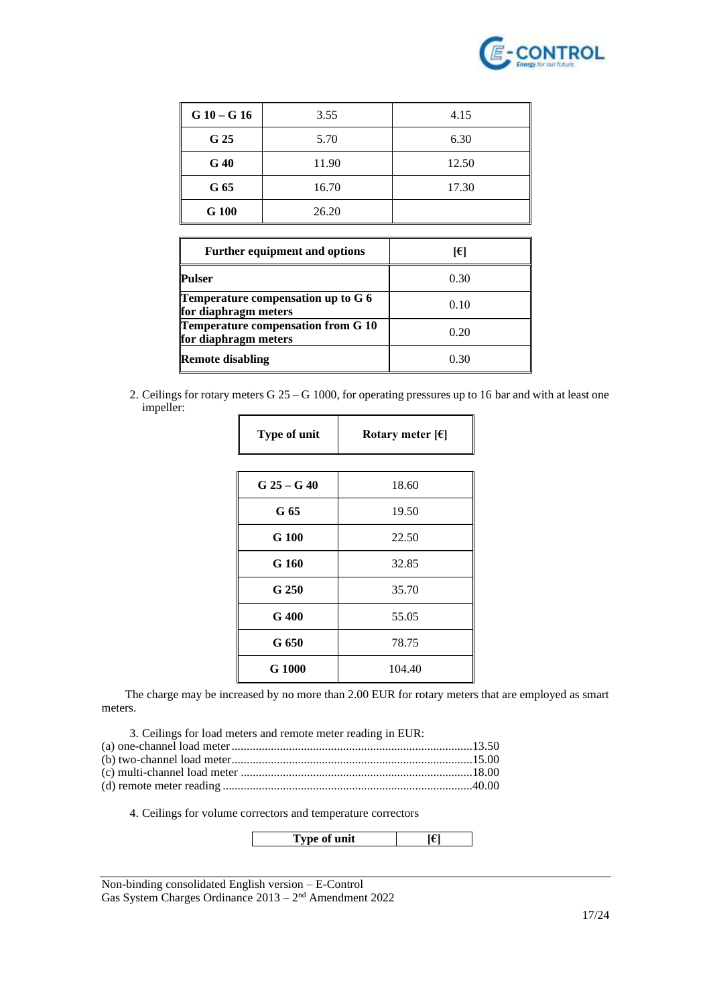

| $G10 - G16$     | 3.55  | 4.15  |
|-----------------|-------|-------|
| G <sub>25</sub> | 5.70  | 6.30  |
| G40             | 11.90 | 12.50 |
| G 65            | 16.70 | 17.30 |
| G 100           | 26.20 |       |

| <b>Further equipment and options</b>                         | I€I  |
|--------------------------------------------------------------|------|
| Pulser                                                       | 0.30 |
| Temperature compensation up to $G$ 6<br>for diaphragm meters | 0.10 |
| Temperature compensation from G 10<br>for diaphragm meters   | 0.20 |
| <b>Remote disabling</b>                                      | 0.30 |

2. Ceilings for rotary meters G 25 – G 1000, for operating pressures up to 16 bar and with at least one impeller:

| Type of unit     | Rotary meter $[6]$ |  |
|------------------|--------------------|--|
|                  |                    |  |
| $G_2 = G_1 = 40$ | 18.60              |  |
| G 65             | 19.50              |  |
| G 100            | 22.50              |  |
| G 160            | 32.85              |  |
| G 250            | 35.70              |  |
| G 400            | 55.05              |  |
| G 650            | 78.75              |  |
| G 1000           | 104.40             |  |

The charge may be increased by no more than 2.00 EUR for rotary meters that are employed as smart meters.

3. Ceilings for load meters and remote meter reading in EUR: (a) one-channel load meter................................................................................13.50 (b) two-channel load meter................................................................................15.00 (c) multi-channel load meter .............................................................................18.00 (d) remote meter reading ...................................................................................40.00

4. Ceilings for volume correctors and temperature correctors

**Type of unit [€]**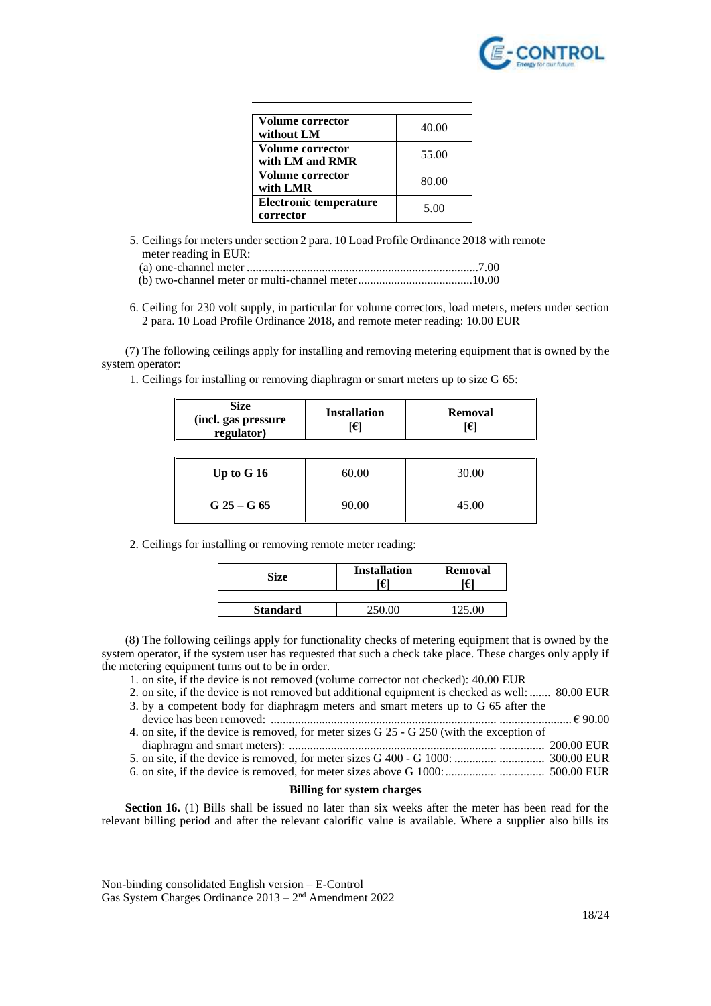

| Volume corrector<br>without LM             | 40.00 |
|--------------------------------------------|-------|
| Volume corrector<br>with LM and RMR        | 55.00 |
| <b>Volume corrector</b><br>with LMR        | 80.00 |
| <b>Electronic temperature</b><br>corrector | 5.00  |

5. Ceilings for meters under section 2 para. 10 Load Profile Ordinance 2018 with remote meter reading in EUR:

(a) one-channel meter .............................................................................7.00 (b) two-channel meter or multi-channel meter......................................10.00

6. Ceiling for 230 volt supply, in particular for volume correctors, load meters, meters under section 2 para. 10 Load Profile Ordinance 2018, and remote meter reading: 10.00 EUR

(7) The following ceilings apply for installing and removing metering equipment that is owned by the system operator:

1. Ceilings for installing or removing diaphragm or smart meters up to size G 65:

| <b>Size</b><br>(incl. gas pressure<br>regulator) | <b>Installation</b><br>I€l | <b>Removal</b><br>I€l |
|--------------------------------------------------|----------------------------|-----------------------|
| Up to G 16                                       | 60.00                      | 30.00                 |
| $G_25 - G_65$                                    | 90.00                      | 45.00                 |

2. Ceilings for installing or removing remote meter reading:

| <b>Size</b>     | <b>Installation</b> | Removal<br>€ |
|-----------------|---------------------|--------------|
| <b>Standard</b> |                     |              |

(8) The following ceilings apply for functionality checks of metering equipment that is owned by the system operator, if the system user has requested that such a check take place. These charges only apply if the metering equipment turns out to be in order.

- 1. on site, if the device is not removed (volume corrector not checked): 40.00 EUR
- 2. on site, if the device is not removed but additional equipment is checked as well: ....... 80.00 EUR
- 3. by a competent body for diaphragm meters and smart meters up to G 65 after the device has been removed: ........................................................................... ........................ € 90.00
- 4. on site, if the device is removed, for meter sizes G 25 G 250 (with the exception of diaphragm and smart meters): ..................................................................... ............... 200.00 EUR
- 5. on site, if the device is removed, for meter sizes G 400 G 1000: .............. ............... 300.00 EUR
- 6. on site, if the device is removed, for meter sizes above G 1000:................. ............... 500.00 EUR

### **Billing for system charges**

**Section 16.** (1) Bills shall be issued no later than six weeks after the meter has been read for the relevant billing period and after the relevant calorific value is available. Where a supplier also bills its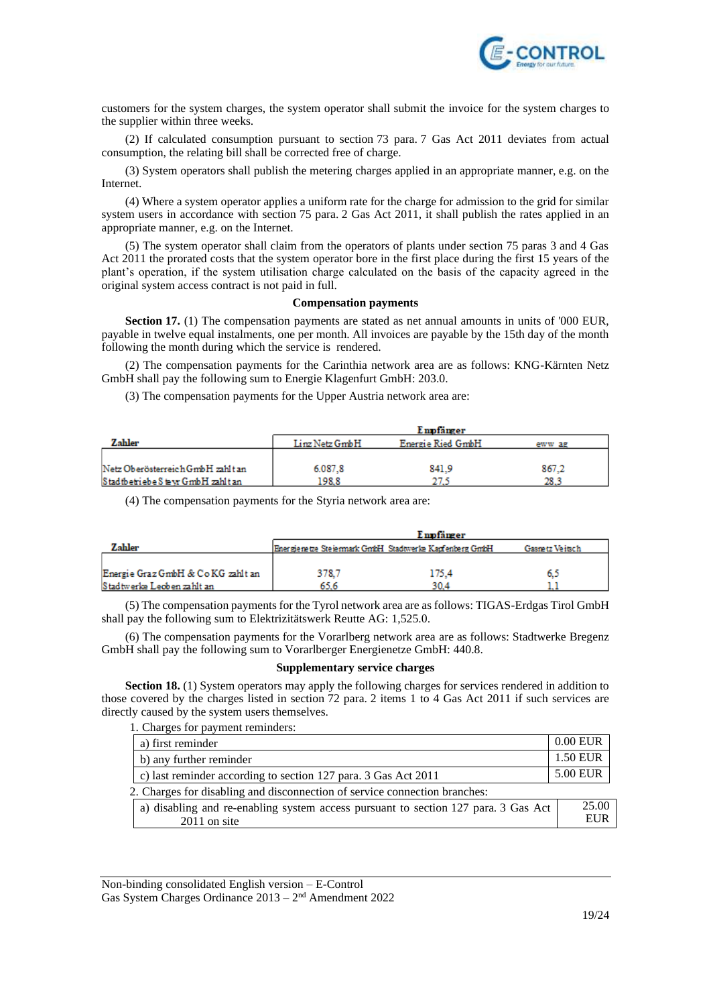

customers for the system charges, the system operator shall submit the invoice for the system charges to the supplier within three weeks.

(2) If calculated consumption pursuant to section 73 para. 7 Gas Act 2011 deviates from actual consumption, the relating bill shall be corrected free of charge.

(3) System operators shall publish the metering charges applied in an appropriate manner, e.g. on the Internet.

(4) Where a system operator applies a uniform rate for the charge for admission to the grid for similar system users in accordance with section 75 para. 2 Gas Act 2011, it shall publish the rates applied in an appropriate manner, e.g. on the Internet.

(5) The system operator shall claim from the operators of plants under section 75 paras 3 and 4 Gas Act 2011 the prorated costs that the system operator bore in the first place during the first 15 years of the plant's operation, if the system utilisation charge calculated on the basis of the capacity agreed in the original system access contract is not paid in full.

#### **Compensation payments**

**Section 17.** (1) The compensation payments are stated as net annual amounts in units of '000 EUR, payable in twelve equal instalments, one per month. All invoices are payable by the 15th day of the month following the month during which the service is rendered.

(2) The compensation payments for the Carinthia network area are as follows: KNG-Kärnten Netz GmbH shall pay the following sum to Energie Klagenfurt GmbH: 203.0.

(3) The compensation payments for the Upper Austria network area are:

|                                   |                | Empfänger         |        |
|-----------------------------------|----------------|-------------------|--------|
| Zahler                            | Linz Netz GmbH | Energie Ried GmbH | eww ag |
|                                   |                |                   |        |
| Netz Oberösterreich GmbH zahlt an | 6.087.8        | 841.9             | 867.2  |
| Stadtbetriebe Stevr GmbH zahlt an | 198.8          |                   | 28.3   |

(4) The compensation payments for the Styria network area are:

|                                    | Empfänger                                               |       |                 |
|------------------------------------|---------------------------------------------------------|-------|-----------------|
| Zahler                             | Energienetze Steiermark GmbH Stadtwerke Kapfenberg GmbH |       | Gasnetz Veitsch |
|                                    |                                                         |       |                 |
| Energie Graz GmbH & Co KG zahlt an | 378.7                                                   | 175.4 | 6.3             |
| Stadtwerke Leoben zahlt an         | 65.6                                                    | 30.4  | .               |

(5) The compensation payments for the Tyrol network area are as follows: TIGAS-Erdgas Tirol GmbH shall pay the following sum to Elektrizitätswerk Reutte AG: 1,525.0.

(6) The compensation payments for the Vorarlberg network area are as follows: Stadtwerke Bregenz GmbH shall pay the following sum to Vorarlberger Energienetze GmbH: 440.8.

### **Supplementary service charges**

**Section 18.** (1) System operators may apply the following charges for services rendered in addition to those covered by the charges listed in section 72 para. 2 items 1 to 4 Gas Act 2011 if such services are directly caused by the system users themselves.

1. Charges for payment reminders:

| a) first reminder                                                                  |  | $0.00$ EUR |  |
|------------------------------------------------------------------------------------|--|------------|--|
| b) any further reminder                                                            |  | 1.50 EUR   |  |
| c) last reminder according to section 127 para. 3 Gas Act 2011                     |  | 5.00 EUR   |  |
| 2. Charges for disabling and disconnection of service connection branches:         |  |            |  |
| a) disabling and re-enabling system access pursuant to section 127 para. 3 Gas Act |  | 25.00      |  |
| $2011$ on site                                                                     |  | <b>EUR</b> |  |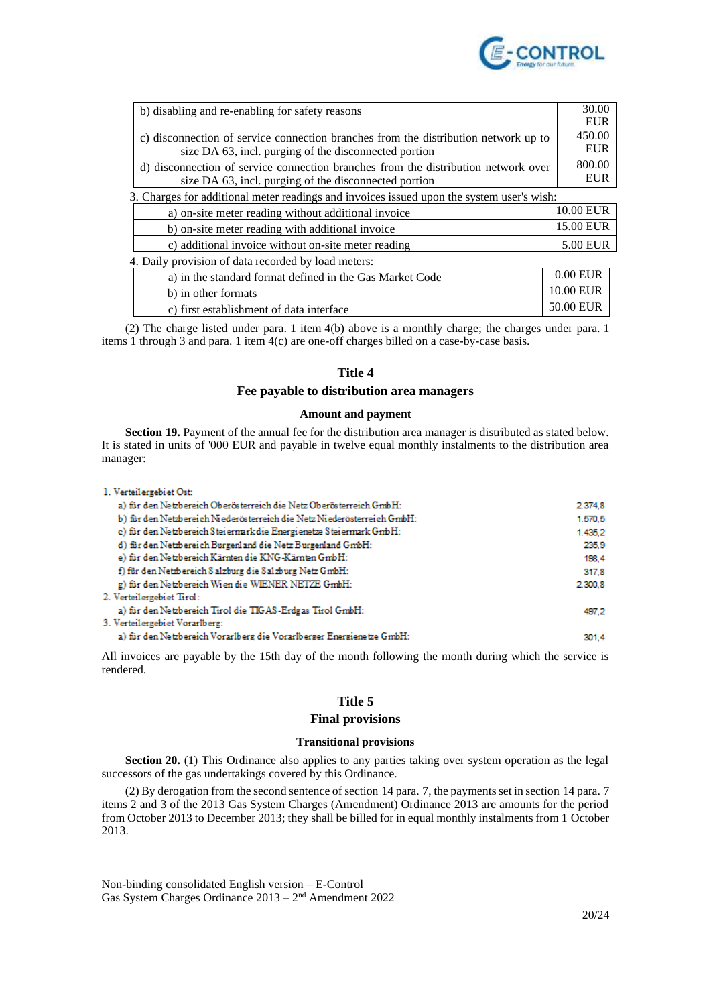

| b) disabling and re-enabling for safety reasons                                                                                              |            |                                                                                    |
|----------------------------------------------------------------------------------------------------------------------------------------------|------------|------------------------------------------------------------------------------------|
|                                                                                                                                              | <b>EUR</b> |                                                                                    |
| c) disconnection of service connection branches from the distribution network up to<br>size DA 63, incl. purging of the disconnected portion |            |                                                                                    |
|                                                                                                                                              |            | d) disconnection of service connection branches from the distribution network over |
| size DA 63, incl. purging of the disconnected portion                                                                                        | <b>EUR</b> |                                                                                    |
| 3. Charges for additional meter readings and invoices issued upon the system user's wish:                                                    |            |                                                                                    |
| a) on-site meter reading without additional invoice                                                                                          | 10.00 EUR  |                                                                                    |
| b) on-site meter reading with additional invoice                                                                                             | 15.00 EUR  |                                                                                    |
| c) additional invoice without on-site meter reading                                                                                          | 5.00 EUR   |                                                                                    |
| 4. Daily provision of data recorded by load meters:                                                                                          |            |                                                                                    |
| a) in the standard format defined in the Gas Market Code                                                                                     | $0.00$ EUR |                                                                                    |
| b) in other formats                                                                                                                          | 10.00 EUR  |                                                                                    |
| c) first establishment of data interface                                                                                                     | 50.00 EUR  |                                                                                    |

(2) The charge listed under para. 1 item 4(b) above is a monthly charge; the charges under para. 1 items 1 through 3 and para. 1 item 4(c) are one-off charges billed on a case-by-case basis.

## **Title 4**

## **Fee payable to distribution area managers**

### **Amount and payment**

**Section 19.** Payment of the annual fee for the distribution area manager is distributed as stated below. It is stated in units of '000 EUR and payable in twelve equal monthly instalments to the distribution area manager:

| 1. Verteilergebiet Ost:                                                 |         |
|-------------------------------------------------------------------------|---------|
| a) für den Netzbereich Oberösterreich die Netz Oberösterreich GmbH:     | 2.374.8 |
| b) für den Netzbereich Niederösterreich die Netz Niederösterreich GmbH: | 1.570.5 |
| c) für den Netzbereich Steiermark die Energienetze Steiermark GmbH:     | 1.435.2 |
| d) für den Netzbereich Burgenland die Netz Burgenland GmbH:             | 235.9   |
| e) für den Netzbereich Kärnten die KNG-Kärnten GmbH:                    | 198.4   |
| f) für den Netzbereich Salzburg die Salzburg Netz GmbH:                 | 317.8   |
| g) für den Netzbereich Wien die WIENER NETZE GmbH:                      | 2.300.8 |
| 2. Verteilergebiet Tirol:                                               |         |
| a) für den Netzbereich Tirol die TIGAS-Erdgas Tirol GmbH:               | 497.2   |
| 3. Verteilergebiet Vorarlberg:                                          |         |
| a) für den Netzbereich Vorarlberg die Vorarlberger Energienetze GmbH:   | 301.4   |

All invoices are payable by the 15th day of the month following the month during which the service is rendered.

## **Title 5**

## **Final provisions**

### **Transitional provisions**

**Section 20.** (1) This Ordinance also applies to any parties taking over system operation as the legal successors of the gas undertakings covered by this Ordinance.

(2) By derogation from the second sentence of section 14 para. 7, the payments set in section 14 para. 7 items 2 and 3 of the 2013 Gas System Charges (Amendment) Ordinance 2013 are amounts for the period from October 2013 to December 2013; they shall be billed for in equal monthly instalments from 1 October 2013.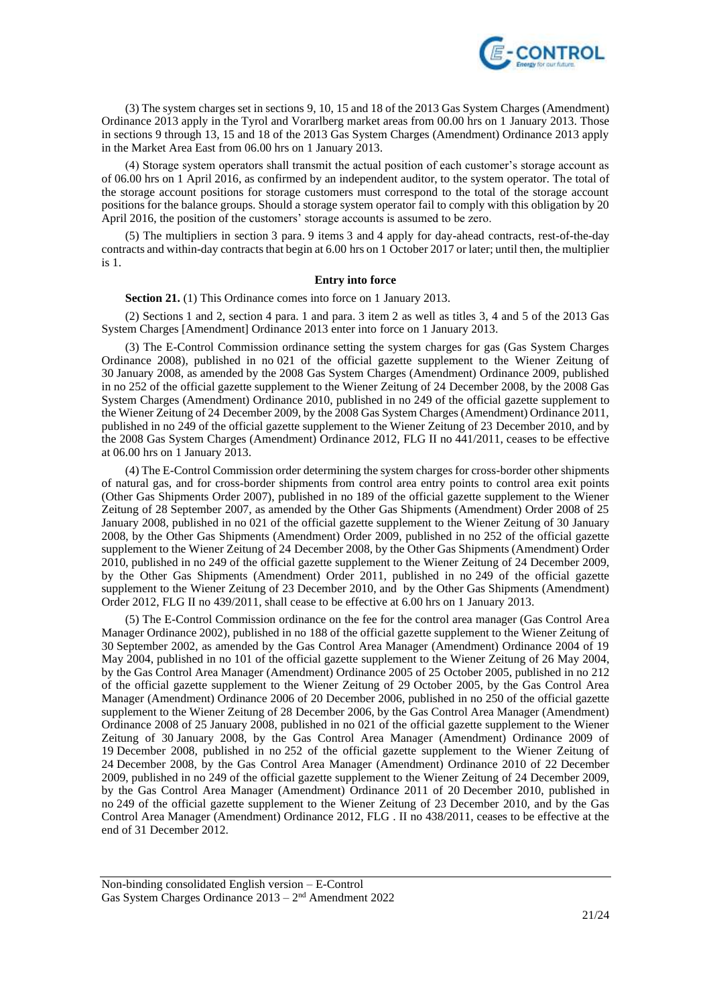

(3) The system charges set in sections 9, 10, 15 and 18 of the 2013 Gas System Charges (Amendment) Ordinance 2013 apply in the Tyrol and Vorarlberg market areas from 00.00 hrs on 1 January 2013. Those in sections 9 through 13, 15 and 18 of the 2013 Gas System Charges (Amendment) Ordinance 2013 apply in the Market Area East from 06.00 hrs on 1 January 2013.

(4) Storage system operators shall transmit the actual position of each customer's storage account as of 06.00 hrs on 1 April 2016, as confirmed by an independent auditor, to the system operator. The total of the storage account positions for storage customers must correspond to the total of the storage account positions for the balance groups. Should a storage system operator fail to comply with this obligation by 20 April 2016, the position of the customers' storage accounts is assumed to be zero.

(5) The multipliers in section 3 para. 9 items 3 and 4 apply for day-ahead contracts, rest-of-the-day contracts and within-day contracts that begin at 6.00 hrs on 1 October 2017 or later; until then, the multiplier is 1.

### **Entry into force**

**Section 21.** (1) This Ordinance comes into force on 1 January 2013.

(2) Sections 1 and 2, section 4 para. 1 and para. 3 item 2 as well as titles 3, 4 and 5 of the 2013 Gas System Charges [Amendment] Ordinance 2013 enter into force on 1 January 2013.

(3) The E-Control Commission ordinance setting the system charges for gas (Gas System Charges Ordinance 2008), published in no 021 of the official gazette supplement to the Wiener Zeitung of 30 January 2008, as amended by the 2008 Gas System Charges (Amendment) Ordinance 2009, published in no 252 of the official gazette supplement to the Wiener Zeitung of 24 December 2008, by the 2008 Gas System Charges (Amendment) Ordinance 2010, published in no 249 of the official gazette supplement to the Wiener Zeitung of 24 December 2009, by the 2008 Gas System Charges (Amendment) Ordinance 2011, published in no 249 of the official gazette supplement to the Wiener Zeitung of 23 December 2010, and by the 2008 Gas System Charges (Amendment) Ordinance 2012, FLG II no 441/2011, ceases to be effective at 06.00 hrs on 1 January 2013.

(4) The E-Control Commission order determining the system charges for cross-border other shipments of natural gas, and for cross-border shipments from control area entry points to control area exit points (Other Gas Shipments Order 2007), published in no 189 of the official gazette supplement to the Wiener Zeitung of 28 September 2007, as amended by the Other Gas Shipments (Amendment) Order 2008 of 25 January 2008, published in no 021 of the official gazette supplement to the Wiener Zeitung of 30 January 2008, by the Other Gas Shipments (Amendment) Order 2009, published in no 252 of the official gazette supplement to the Wiener Zeitung of 24 December 2008, by the Other Gas Shipments (Amendment) Order 2010, published in no 249 of the official gazette supplement to the Wiener Zeitung of 24 December 2009, by the Other Gas Shipments (Amendment) Order 2011, published in no 249 of the official gazette supplement to the Wiener Zeitung of 23 December 2010, and by the Other Gas Shipments (Amendment) Order 2012, FLG II no 439/2011, shall cease to be effective at 6.00 hrs on 1 January 2013.

(5) The E-Control Commission ordinance on the fee for the control area manager (Gas Control Area Manager Ordinance 2002), published in no 188 of the official gazette supplement to the Wiener Zeitung of 30 September 2002, as amended by the Gas Control Area Manager (Amendment) Ordinance 2004 of 19 May 2004, published in no 101 of the official gazette supplement to the Wiener Zeitung of 26 May 2004, by the Gas Control Area Manager (Amendment) Ordinance 2005 of 25 October 2005, published in no 212 of the official gazette supplement to the Wiener Zeitung of 29 October 2005, by the Gas Control Area Manager (Amendment) Ordinance 2006 of 20 December 2006, published in no 250 of the official gazette supplement to the Wiener Zeitung of 28 December 2006, by the Gas Control Area Manager (Amendment) Ordinance 2008 of 25 January 2008, published in no 021 of the official gazette supplement to the Wiener Zeitung of 30 January 2008, by the Gas Control Area Manager (Amendment) Ordinance 2009 of 19 December 2008, published in no 252 of the official gazette supplement to the Wiener Zeitung of 24 December 2008, by the Gas Control Area Manager (Amendment) Ordinance 2010 of 22 December 2009, published in no 249 of the official gazette supplement to the Wiener Zeitung of 24 December 2009, by the Gas Control Area Manager (Amendment) Ordinance 2011 of 20 December 2010, published in no 249 of the official gazette supplement to the Wiener Zeitung of 23 December 2010, and by the Gas Control Area Manager (Amendment) Ordinance 2012, FLG . II no 438/2011, ceases to be effective at the end of 31 December 2012.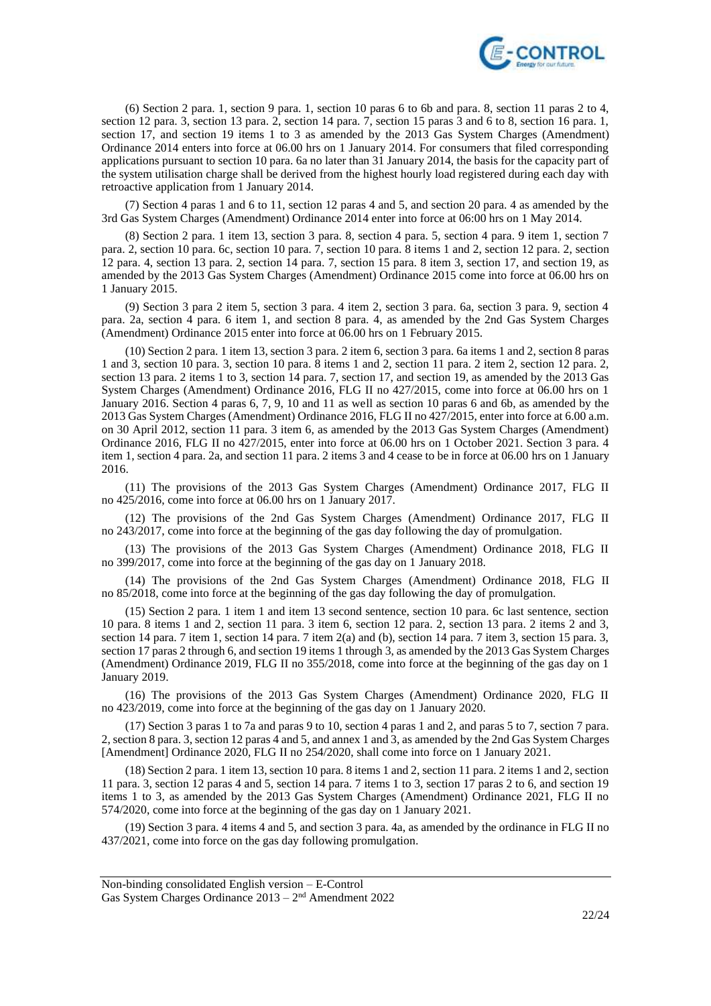

(6) Section 2 para. 1, section 9 para. 1, section 10 paras 6 to 6b and para. 8, section 11 paras 2 to 4, section 12 para. 3, section 13 para. 2, section 14 para. 7, section 15 paras 3 and 6 to 8, section 16 para. 1, section 17, and section 19 items 1 to 3 as amended by the 2013 Gas System Charges (Amendment) Ordinance 2014 enters into force at 06.00 hrs on 1 January 2014. For consumers that filed corresponding applications pursuant to section 10 para. 6a no later than 31 January 2014, the basis for the capacity part of the system utilisation charge shall be derived from the highest hourly load registered during each day with retroactive application from 1 January 2014.

(7) Section 4 paras 1 and 6 to 11, section 12 paras 4 and 5, and section 20 para. 4 as amended by the 3rd Gas System Charges (Amendment) Ordinance 2014 enter into force at 06:00 hrs on 1 May 2014.

(8) Section 2 para. 1 item 13, section 3 para. 8, section 4 para. 5, section 4 para. 9 item 1, section 7 para. 2, section 10 para. 6c, section 10 para. 7, section 10 para. 8 items 1 and 2, section 12 para. 2, section 12 para. 4, section 13 para. 2, section 14 para. 7, section 15 para. 8 item 3, section 17, and section 19, as amended by the 2013 Gas System Charges (Amendment) Ordinance 2015 come into force at 06.00 hrs on 1 January 2015.

(9) Section 3 para 2 item 5, section 3 para. 4 item 2, section 3 para. 6a, section 3 para. 9, section 4 para. 2a, section 4 para. 6 item 1, and section 8 para. 4, as amended by the 2nd Gas System Charges (Amendment) Ordinance 2015 enter into force at 06.00 hrs on 1 February 2015.

(10) Section 2 para. 1 item 13, section 3 para. 2 item 6, section 3 para. 6a items 1 and 2, section 8 paras 1 and 3, section 10 para. 3, section 10 para. 8 items 1 and 2, section 11 para. 2 item 2, section 12 para. 2, section 13 para. 2 items 1 to 3, section 14 para. 7, section 17, and section 19, as amended by the 2013 Gas System Charges (Amendment) Ordinance 2016, FLG II no 427/2015, come into force at 06.00 hrs on 1 January 2016. Section 4 paras 6, 7, 9, 10 and 11 as well as section 10 paras 6 and 6b, as amended by the 2013 Gas System Charges (Amendment) Ordinance 2016, FLG II no 427/2015, enter into force at 6.00 a.m. on 30 April 2012, section 11 para. 3 item 6, as amended by the 2013 Gas System Charges (Amendment) Ordinance 2016, FLG II no 427/2015, enter into force at 06.00 hrs on 1 October 2021. Section 3 para. 4 item 1, section 4 para. 2a, and section 11 para. 2 items 3 and 4 cease to be in force at 06.00 hrs on 1 January 2016.

(11) The provisions of the 2013 Gas System Charges (Amendment) Ordinance 2017, FLG II no 425/2016, come into force at 06.00 hrs on 1 January 2017.

(12) The provisions of the 2nd Gas System Charges (Amendment) Ordinance 2017, FLG II no 243/2017, come into force at the beginning of the gas day following the day of promulgation.

(13) The provisions of the 2013 Gas System Charges (Amendment) Ordinance 2018, FLG II no 399/2017, come into force at the beginning of the gas day on 1 January 2018.

(14) The provisions of the 2nd Gas System Charges (Amendment) Ordinance 2018, FLG II no 85/2018, come into force at the beginning of the gas day following the day of promulgation.

(15) Section 2 para. 1 item 1 and item 13 second sentence, section 10 para. 6c last sentence, section 10 para. 8 items 1 and 2, section 11 para. 3 item 6, section 12 para. 2, section 13 para. 2 items 2 and 3, section 14 para. 7 item 1, section 14 para. 7 item 2(a) and (b), section 14 para. 7 item 3, section 15 para. 3, section 17 paras 2 through 6, and section 19 items 1 through 3, as amended by the 2013 Gas System Charges (Amendment) Ordinance 2019, FLG II no 355/2018, come into force at the beginning of the gas day on 1 January 2019.

(16) The provisions of the 2013 Gas System Charges (Amendment) Ordinance 2020, FLG II no 423/2019, come into force at the beginning of the gas day on 1 January 2020.

(17) Section 3 paras 1 to 7a and paras 9 to 10, section 4 paras 1 and 2, and paras 5 to 7, section 7 para. 2, section 8 para. 3, section 12 paras 4 and 5, and annex 1 and 3, as amended by the 2nd Gas System Charges [Amendment] Ordinance 2020, FLG II no 254/2020, shall come into force on 1 January 2021.

(18) Section 2 para. 1 item 13, section 10 para. 8 items 1 and 2, section 11 para. 2 items 1 and 2, section 11 para. 3, section 12 paras 4 and 5, section 14 para. 7 items 1 to 3, section 17 paras 2 to 6, and section 19 items 1 to 3, as amended by the 2013 Gas System Charges (Amendment) Ordinance 2021, FLG II no 574/2020, come into force at the beginning of the gas day on 1 January 2021.

(19) Section 3 para. 4 items 4 and 5, and section 3 para. 4a, as amended by the ordinance in FLG II no 437/2021, come into force on the gas day following promulgation.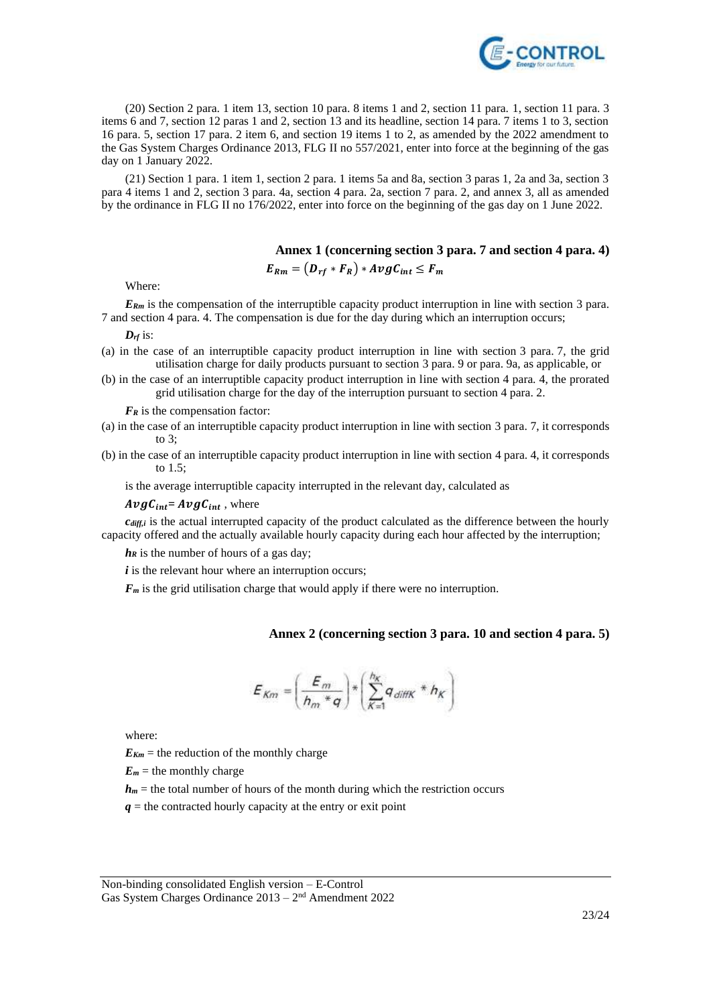

(20) Section 2 para. 1 item 13, section 10 para. 8 items 1 and 2, section 11 para. 1, section 11 para. 3 items 6 and 7, section 12 paras 1 and 2, section 13 and its headline, section 14 para. 7 items 1 to 3, section 16 para. 5, section 17 para. 2 item 6, and section 19 items 1 to 2, as amended by the 2022 amendment to the Gas System Charges Ordinance 2013, FLG II no 557/2021, enter into force at the beginning of the gas day on 1 January 2022.

(21) Section 1 para. 1 item 1, section 2 para. 1 items 5a and 8a, section 3 paras 1, 2a and 3a, section 3 para 4 items 1 and 2, section 3 para. 4a, section 4 para. 2a, section 7 para. 2, and annex 3, all as amended by the ordinance in FLG II no 176/2022, enter into force on the beginning of the gas day on 1 June 2022.

## **Annex 1 (concerning section 3 para. 7 and section 4 para. 4)**

 $E_{Rm} = (D_{rf} * F_R) * AvgC_{int} \leq F_m$ 

Where:

*E*<sub>*Rm*</sub> is the compensation of the interruptible capacity product interruption in line with section 3 para. 7 and section 4 para. 4. The compensation is due for the day during which an interruption occurs;

*Drf* is:

- (a) in the case of an interruptible capacity product interruption in line with section 3 para. 7, the grid utilisation charge for daily products pursuant to section 3 para. 9 or para. 9a, as applicable, or
- (b) in the case of an interruptible capacity product interruption in line with section 4 para. 4, the prorated grid utilisation charge for the day of the interruption pursuant to section 4 para. 2.

*F<sup>R</sup>* is the compensation factor:

- (a) in the case of an interruptible capacity product interruption in line with section 3 para. 7, it corresponds to 3;
- (b) in the case of an interruptible capacity product interruption in line with section 4 para. 4, it corresponds to 1.5;

is the average interruptible capacity interrupted in the relevant day, calculated as

 $AvgC_{int} = AvgC_{int}$ , where

*cdiff,i* is the actual interrupted capacity of the product calculated as the difference between the hourly capacity offered and the actually available hourly capacity during each hour affected by the interruption;

*h<sub>R</sub>* is the number of hours of a gas day;

*i* is the relevant hour where an interruption occurs;

*F<sub>m</sub>* is the grid utilisation charge that would apply if there were no interruption.

## **Annex 2 (concerning section 3 para. 10 and section 4 para. 5)**

$$
E_{Km} = \left(\frac{E_m}{h_m * q}\right) * \left(\sum_{K=1}^{h_K} q_{diffK} * h_K\right)
$$

where:

 $E_{Km}$  = the reduction of the monthly charge

 $E_m$  = the monthly charge

 $h_m$  = the total number of hours of the month during which the restriction occurs

 $q$  = the contracted hourly capacity at the entry or exit point